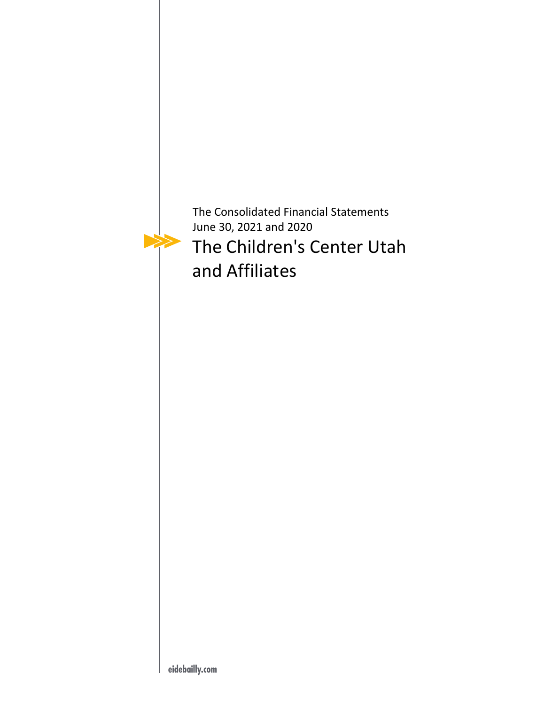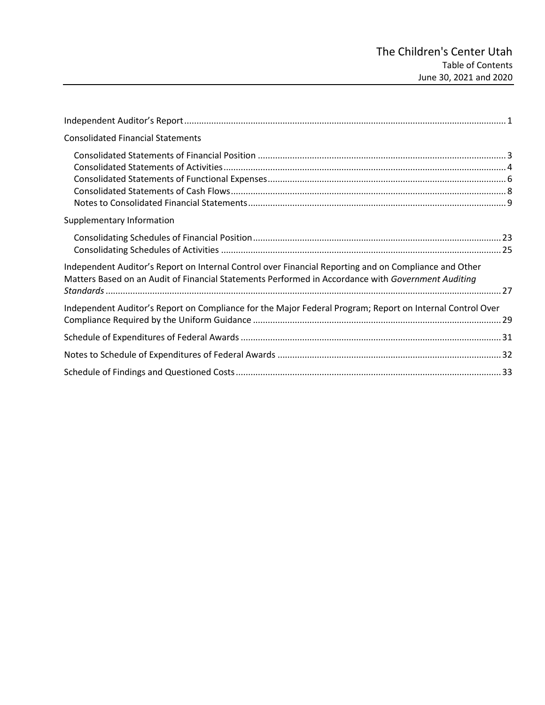| <b>Consolidated Financial Statements</b>                                                                                                                                                                    |  |
|-------------------------------------------------------------------------------------------------------------------------------------------------------------------------------------------------------------|--|
|                                                                                                                                                                                                             |  |
| Supplementary Information                                                                                                                                                                                   |  |
|                                                                                                                                                                                                             |  |
| Independent Auditor's Report on Internal Control over Financial Reporting and on Compliance and Other<br>Matters Based on an Audit of Financial Statements Performed in Accordance with Government Auditing |  |
| Independent Auditor's Report on Compliance for the Major Federal Program; Report on Internal Control Over                                                                                                   |  |
|                                                                                                                                                                                                             |  |
|                                                                                                                                                                                                             |  |
|                                                                                                                                                                                                             |  |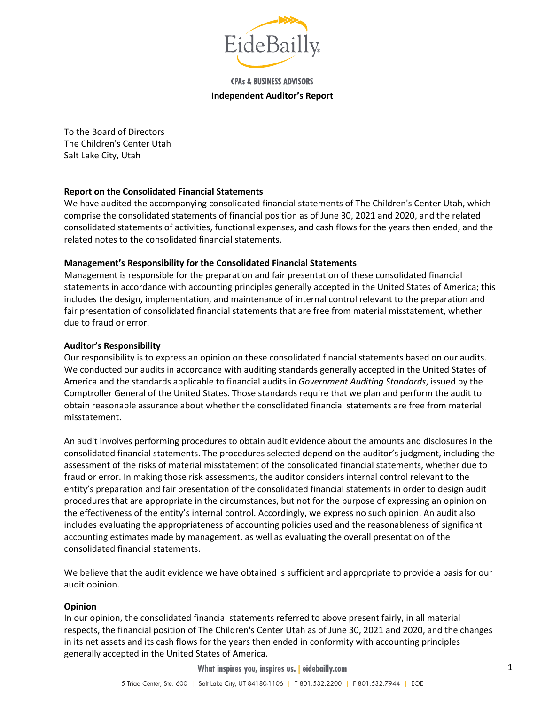

**CPAs & BUSINESS ADVISORS Independent Auditor's Report**

<span id="page-2-0"></span>To the Board of Directors The Children's Center Utah Salt Lake City, Utah

#### **Report on the Consolidated Financial Statements**

We have audited the accompanying consolidated financial statements of The Children's Center Utah, which comprise the consolidated statements of financial position as of June 30, 2021 and 2020, and the related consolidated statements of activities, functional expenses, and cash flows for the years then ended, and the related notes to the consolidated financial statements.

#### **Management's Responsibility for the Consolidated Financial Statements**

Management is responsible for the preparation and fair presentation of these consolidated financial statements in accordance with accounting principles generally accepted in the United States of America; this includes the design, implementation, and maintenance of internal control relevant to the preparation and fair presentation of consolidated financial statements that are free from material misstatement, whether due to fraud or error.

#### **Auditor's Responsibility**

Our responsibility is to express an opinion on these consolidated financial statements based on our audits. We conducted our audits in accordance with auditing standards generally accepted in the United States of America and the standards applicable to financial audits in *Government Auditing Standards*, issued by the Comptroller General of the United States. Those standards require that we plan and perform the audit to obtain reasonable assurance about whether the consolidated financial statements are free from material misstatement.

An audit involves performing procedures to obtain audit evidence about the amounts and disclosures in the consolidated financial statements. The procedures selected depend on the auditor's judgment, including the assessment of the risks of material misstatement of the consolidated financial statements, whether due to fraud or error. In making those risk assessments, the auditor considers internal control relevant to the entity's preparation and fair presentation of the consolidated financial statements in order to design audit procedures that are appropriate in the circumstances, but not for the purpose of expressing an opinion on the effectiveness of the entity's internal control. Accordingly, we express no such opinion. An audit also includes evaluating the appropriateness of accounting policies used and the reasonableness of significant accounting estimates made by management, as well as evaluating the overall presentation of the consolidated financial statements.

We believe that the audit evidence we have obtained is sufficient and appropriate to provide a basis for our audit opinion.

#### **Opinion**

In our opinion, the consolidated financial statements referred to above present fairly, in all material respects, the financial position of The Children's Center Utah as of June 30, 2021 and 2020, and the changes in its net assets and its cash flows for the years then ended in conformity with accounting principles generally accepted in the United States of America.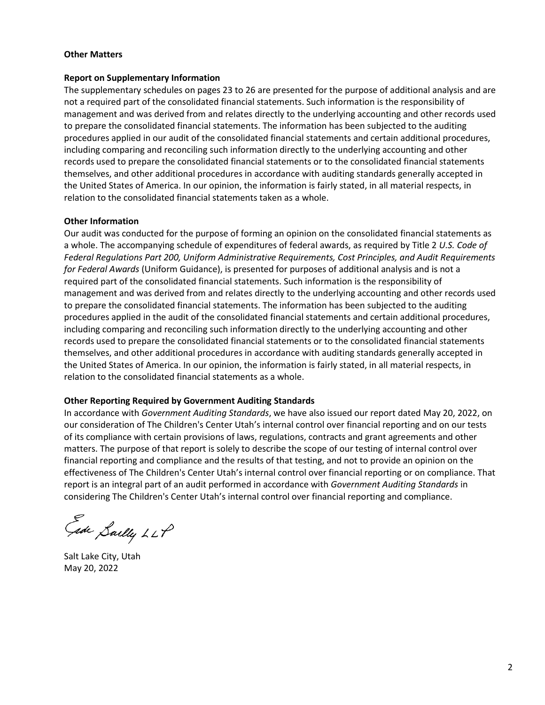#### **Other Matters**

### **Report on Supplementary Information**

The supplementary schedules on pages 23 to 26 are presented for the purpose of additional analysis and are not a required part of the consolidated financial statements. Such information is the responsibility of management and was derived from and relates directly to the underlying accounting and other records used to prepare the consolidated financial statements. The information has been subjected to the auditing procedures applied in our audit of the consolidated financial statements and certain additional procedures, including comparing and reconciling such information directly to the underlying accounting and other records used to prepare the consolidated financial statements or to the consolidated financial statements themselves, and other additional procedures in accordance with auditing standards generally accepted in the United States of America. In our opinion, the information is fairly stated, in all material respects, in relation to the consolidated financial statements taken as a whole.

#### **Other Information**

Our audit was conducted for the purpose of forming an opinion on the consolidated financial statements as a whole. The accompanying schedule of expenditures of federal awards, as required by Title 2 *U.S. Code of Federal Regulations Part 200, Uniform Administrative Requirements, Cost Principles, and Audit Requirements for Federal Awards* (Uniform Guidance), is presented for purposes of additional analysis and is not a required part of the consolidated financial statements. Such information is the responsibility of management and was derived from and relates directly to the underlying accounting and other records used to prepare the consolidated financial statements. The information has been subjected to the auditing procedures applied in the audit of the consolidated financial statements and certain additional procedures, including comparing and reconciling such information directly to the underlying accounting and other records used to prepare the consolidated financial statements or to the consolidated financial statements themselves, and other additional procedures in accordance with auditing standards generally accepted in the United States of America. In our opinion, the information is fairly stated, in all material respects, in relation to the consolidated financial statements as a whole.

### **Other Reporting Required by Government Auditing Standards**

In accordance with *Government Auditing Standards*, we have also issued our report dated May 20, 2022, on our consideration of The Children's Center Utah's internal control over financial reporting and on our tests of its compliance with certain provisions of laws, regulations, contracts and grant agreements and other matters. The purpose of that report is solely to describe the scope of our testing of internal control over financial reporting and compliance and the results of that testing, and not to provide an opinion on the effectiveness of The Children's Center Utah's internal control over financial reporting or on compliance. That report is an integral part of an audit performed in accordance with *Government Auditing Standards* in considering The Children's Center Utah's internal control over financial reporting and compliance.

Eader Sailly LLP

Salt Lake City, Utah May 20, 2022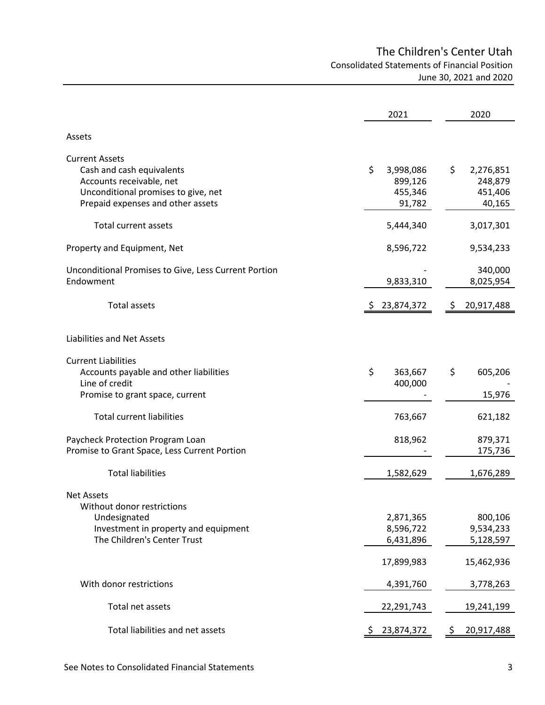# The Children's Center Utah Consolidated Statements of Financial Position June 30, 2021 and 2020

<span id="page-4-1"></span><span id="page-4-0"></span>

|                                                                                                                                                            | 2021                                            | 2020                                            |
|------------------------------------------------------------------------------------------------------------------------------------------------------------|-------------------------------------------------|-------------------------------------------------|
| Assets                                                                                                                                                     |                                                 |                                                 |
| <b>Current Assets</b><br>Cash and cash equivalents<br>Accounts receivable, net<br>Unconditional promises to give, net<br>Prepaid expenses and other assets | \$<br>3,998,086<br>899,126<br>455,346<br>91,782 | \$<br>2,276,851<br>248,879<br>451,406<br>40,165 |
| <b>Total current assets</b>                                                                                                                                | 5,444,340                                       | 3,017,301                                       |
| Property and Equipment, Net                                                                                                                                | 8,596,722                                       | 9,534,233                                       |
| Unconditional Promises to Give, Less Current Portion<br>Endowment                                                                                          | 9,833,310                                       | 340,000<br>8,025,954                            |
| <b>Total assets</b>                                                                                                                                        | 23,874,372<br>S.                                | 20,917,488<br>S                                 |
| Liabilities and Net Assets                                                                                                                                 |                                                 |                                                 |
| <b>Current Liabilities</b><br>Accounts payable and other liabilities<br>Line of credit<br>Promise to grant space, current                                  | \$<br>363,667<br>400,000                        | \$<br>605,206<br>15,976                         |
| <b>Total current liabilities</b>                                                                                                                           | 763,667                                         | 621,182                                         |
| Paycheck Protection Program Loan<br>Promise to Grant Space, Less Current Portion                                                                           | 818,962                                         | 879,371<br>175,736                              |
| <b>Total liabilities</b>                                                                                                                                   | 1,582,629                                       | 1,676,289                                       |
| <b>Net Assets</b><br>Without donor restrictions<br>Undesignated<br>Investment in property and equipment<br>The Children's Center Trust                     | 2,871,365<br>8,596,722<br>6,431,896             | 800,106<br>9,534,233<br>5,128,597               |
|                                                                                                                                                            | 17,899,983                                      | 15,462,936                                      |
| With donor restrictions                                                                                                                                    | 4,391,760                                       | 3,778,263                                       |
| Total net assets                                                                                                                                           | 22,291,743                                      | 19,241,199                                      |
| Total liabilities and net assets                                                                                                                           | 23,874,372                                      | 20,917,488<br>S                                 |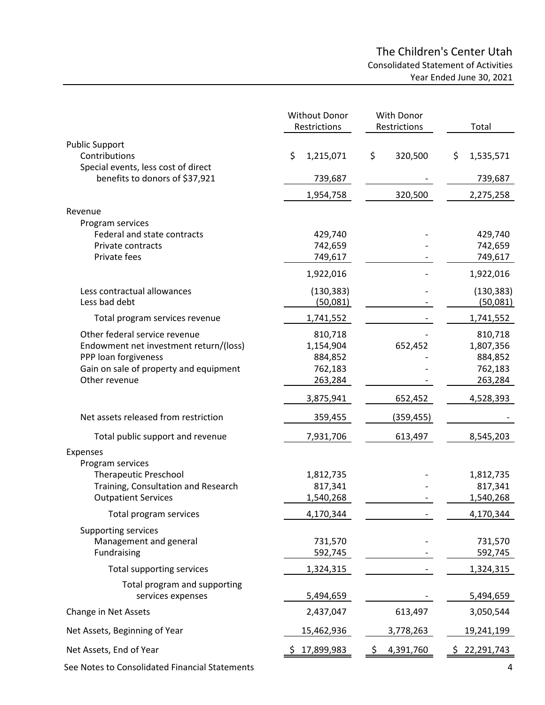<span id="page-5-0"></span>

|                                                                                                                                                            | <b>Without Donor</b><br>Restrictions                  | With Donor<br>Restrictions | Total                                                 |
|------------------------------------------------------------------------------------------------------------------------------------------------------------|-------------------------------------------------------|----------------------------|-------------------------------------------------------|
| <b>Public Support</b><br>Contributions<br>Special events, less cost of direct                                                                              | \$<br>1,215,071                                       | \$<br>320,500              | \$<br>1,535,571                                       |
| benefits to donors of \$37,921                                                                                                                             | 739,687                                               |                            | 739,687                                               |
|                                                                                                                                                            | 1,954,758                                             | 320,500                    | 2,275,258                                             |
| Revenue                                                                                                                                                    |                                                       |                            |                                                       |
| Program services<br>Federal and state contracts<br>Private contracts<br>Private fees                                                                       | 429,740<br>742,659<br>749,617                         |                            | 429,740<br>742,659<br>749,617                         |
|                                                                                                                                                            | 1,922,016                                             |                            | 1,922,016                                             |
| Less contractual allowances<br>Less bad debt                                                                                                               | (130, 383)<br>(50,081)                                |                            | (130, 383)<br>(50,081)                                |
| Total program services revenue                                                                                                                             | 1,741,552                                             |                            | 1,741,552                                             |
| Other federal service revenue<br>Endowment net investment return/(loss)<br>PPP loan forgiveness<br>Gain on sale of property and equipment<br>Other revenue | 810,718<br>1,154,904<br>884,852<br>762,183<br>263,284 | 652,452                    | 810,718<br>1,807,356<br>884,852<br>762,183<br>263,284 |
|                                                                                                                                                            | 3,875,941                                             | 652,452                    | 4,528,393                                             |
| Net assets released from restriction                                                                                                                       | 359,455                                               | (359,455)                  |                                                       |
| Total public support and revenue                                                                                                                           | 7,931,706                                             | 613,497                    | 8,545,203                                             |
| Expenses<br>Program services<br><b>Therapeutic Preschool</b><br>Training, Consultation and Research<br><b>Outpatient Services</b>                          | 1,812,735<br>817,341<br>1,540,268                     |                            | 1,812,735<br>817,341<br>1,540,268                     |
| Total program services                                                                                                                                     | 4,170,344                                             |                            | 4,170,344                                             |
| <b>Supporting services</b><br>Management and general<br>Fundraising                                                                                        | 731,570<br>592,745                                    |                            | 731,570<br>592,745                                    |
| Total supporting services                                                                                                                                  | 1,324,315                                             |                            | 1,324,315                                             |
| Total program and supporting<br>services expenses                                                                                                          | 5,494,659                                             |                            | 5,494,659                                             |
| Change in Net Assets                                                                                                                                       | 2,437,047                                             | 613,497                    | 3,050,544                                             |
| Net Assets, Beginning of Year                                                                                                                              | 15,462,936                                            | 3,778,263                  | 19,241,199                                            |
| Net Assets, End of Year                                                                                                                                    | 17,899,983                                            | 4,391,760                  | 22,291,743                                            |

See Notes to Consolidated Financial Statements 4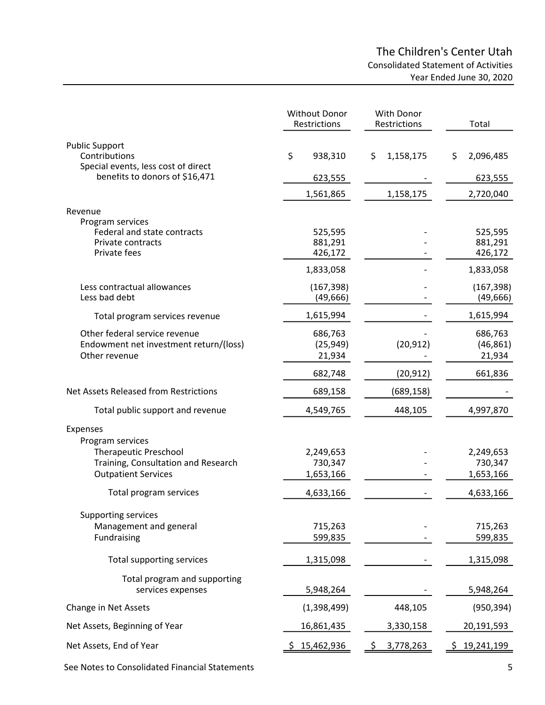|                                                                       | <b>Without Donor</b><br>Restrictions | With Donor<br>Restrictions | Total           |
|-----------------------------------------------------------------------|--------------------------------------|----------------------------|-----------------|
| <b>Public Support</b>                                                 |                                      |                            |                 |
| Contributions                                                         | \$<br>938,310                        | 1,158,175<br>\$            | \$<br>2,096,485 |
| Special events, less cost of direct<br>benefits to donors of \$16,471 | 623,555                              |                            | 623,555         |
|                                                                       | 1,561,865                            | 1,158,175                  | 2,720,040       |
| Revenue                                                               |                                      |                            |                 |
| Program services                                                      |                                      |                            |                 |
| Federal and state contracts                                           | 525,595                              |                            | 525,595         |
| Private contracts                                                     | 881,291                              |                            | 881,291         |
| Private fees                                                          | 426,172                              |                            | 426,172         |
|                                                                       | 1,833,058                            |                            | 1,833,058       |
| Less contractual allowances                                           | (167, 398)                           |                            | (167, 398)      |
| Less bad debt                                                         | (49, 666)                            |                            | (49, 666)       |
| Total program services revenue                                        | 1,615,994                            |                            | 1,615,994       |
| Other federal service revenue                                         | 686,763                              |                            | 686,763         |
| Endowment net investment return/(loss)                                | (25, 949)                            | (20, 912)                  | (46, 861)       |
| Other revenue                                                         | 21,934                               |                            | 21,934          |
|                                                                       | 682,748                              | (20, 912)                  | 661,836         |
| Net Assets Released from Restrictions                                 | 689,158                              | (689, 158)                 |                 |
| Total public support and revenue                                      | 4,549,765                            | 448,105                    | 4,997,870       |
| Expenses                                                              |                                      |                            |                 |
| Program services                                                      |                                      |                            |                 |
| <b>Therapeutic Preschool</b>                                          | 2,249,653                            |                            | 2,249,653       |
| Training, Consultation and Research                                   | 730,347                              |                            | 730,347         |
| <b>Outpatient Services</b>                                            | 1,653,166                            |                            | 1,653,166       |
| Total program services                                                | 4,633,166                            |                            | 4,633,166       |
|                                                                       |                                      |                            |                 |
| <b>Supporting services</b><br>Management and general                  | 715,263                              |                            | 715,263         |
| Fundraising                                                           | 599,835                              |                            | 599,835         |
|                                                                       |                                      |                            |                 |
| Total supporting services                                             | 1,315,098                            |                            | 1,315,098       |
| Total program and supporting<br>services expenses                     | 5,948,264                            |                            | 5,948,264       |
| Change in Net Assets                                                  | (1,398,499)                          | 448,105                    | (950, 394)      |
| Net Assets, Beginning of Year                                         | 16,861,435                           | 3,330,158                  | 20,191,593      |
| Net Assets, End of Year                                               | 5 15,462,936                         | 3,778,263                  | 19,241,199      |

See Notes to Consolidated Financial Statements 5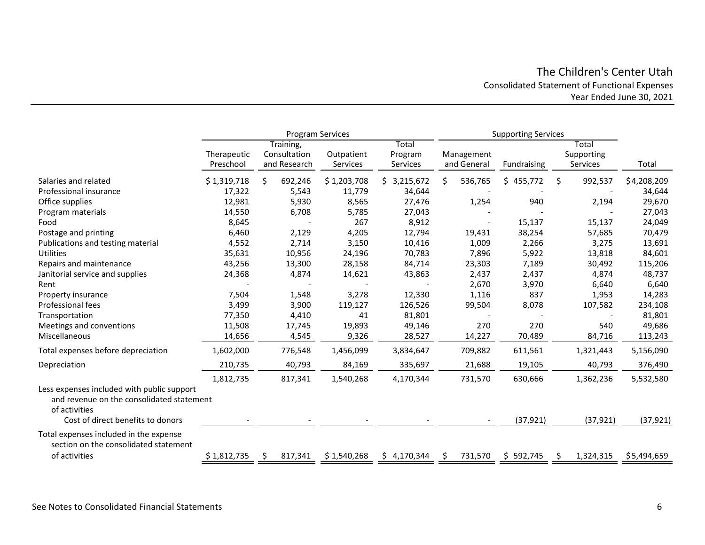# The Children's Center Utah Consolidated Statement of Functional Expenses Year Ended June 30, 2021

<span id="page-7-0"></span>

|                                                                                                          |                          |                                           | <b>Program Services</b> |                        |                                     | <b>Supporting Services</b> |         |             |                                 |           |             |
|----------------------------------------------------------------------------------------------------------|--------------------------|-------------------------------------------|-------------------------|------------------------|-------------------------------------|----------------------------|---------|-------------|---------------------------------|-----------|-------------|
|                                                                                                          | Therapeutic<br>Preschool | Training,<br>Consultation<br>and Research |                         | Outpatient<br>Services | <b>Total</b><br>Program<br>Services | Management<br>and General  |         | Fundraising | Total<br>Supporting<br>Services |           | Total       |
| Salaries and related                                                                                     | \$1,319,718              | \$                                        | 692,246                 | \$1,203,708            | \$3,215,672                         | Ś.                         | 536,765 | \$455,772   | \$                              | 992,537   | \$4,208,209 |
| Professional insurance                                                                                   | 17,322                   |                                           | 5,543                   | 11,779                 | 34,644                              |                            |         |             |                                 |           | 34,644      |
| Office supplies                                                                                          | 12,981                   |                                           | 5,930                   | 8,565                  | 27,476                              |                            | 1,254   | 940         |                                 | 2,194     | 29,670      |
| Program materials                                                                                        | 14,550                   |                                           | 6,708                   | 5,785                  | 27,043                              |                            |         |             |                                 |           | 27,043      |
| Food                                                                                                     | 8,645                    |                                           |                         | 267                    | 8,912                               |                            |         | 15,137      |                                 | 15,137    | 24,049      |
| Postage and printing                                                                                     | 6,460                    |                                           | 2,129                   | 4,205                  | 12,794                              |                            | 19,431  | 38,254      |                                 | 57,685    | 70,479      |
| Publications and testing material                                                                        | 4,552                    |                                           | 2,714                   | 3,150                  | 10,416                              |                            | 1,009   | 2,266       |                                 | 3,275     | 13,691      |
| <b>Utilities</b>                                                                                         | 35,631                   |                                           | 10,956                  | 24,196                 | 70,783                              |                            | 7,896   | 5,922       |                                 | 13,818    | 84,601      |
| Repairs and maintenance                                                                                  | 43,256                   |                                           | 13,300                  | 28,158                 | 84,714                              |                            | 23,303  | 7,189       |                                 | 30,492    | 115,206     |
| Janitorial service and supplies                                                                          | 24,368                   |                                           | 4,874                   | 14,621                 | 43,863                              |                            | 2,437   | 2,437       |                                 | 4,874     | 48,737      |
| Rent                                                                                                     |                          |                                           |                         |                        |                                     |                            | 2,670   | 3,970       |                                 | 6,640     | 6,640       |
| Property insurance                                                                                       | 7,504                    |                                           | 1,548                   | 3,278                  | 12,330                              |                            | 1,116   | 837         |                                 | 1,953     | 14,283      |
| Professional fees                                                                                        | 3,499                    |                                           | 3,900                   | 119,127                | 126,526                             |                            | 99,504  | 8,078       |                                 | 107,582   | 234,108     |
| Transportation                                                                                           | 77,350                   |                                           | 4,410                   | 41                     | 81,801                              |                            |         |             |                                 |           | 81,801      |
| Meetings and conventions                                                                                 | 11,508                   |                                           | 17,745                  | 19,893                 | 49,146                              |                            | 270     | 270         |                                 | 540       | 49,686      |
| Miscellaneous                                                                                            | 14,656                   |                                           | 4,545                   | 9,326                  | 28,527                              |                            | 14,227  | 70,489      |                                 | 84,716    | 113,243     |
| Total expenses before depreciation                                                                       | 1,602,000                |                                           | 776,548                 | 1,456,099              | 3,834,647                           |                            | 709,882 | 611,561     |                                 | 1,321,443 | 5,156,090   |
| Depreciation                                                                                             | 210,735                  |                                           | 40,793                  | 84,169                 | 335,697                             |                            | 21,688  | 19,105      |                                 | 40,793    | 376,490     |
|                                                                                                          | 1,812,735                |                                           | 817,341                 | 1,540,268              | 4,170,344                           |                            | 731,570 | 630,666     |                                 | 1,362,236 | 5,532,580   |
| Less expenses included with public support<br>and revenue on the consolidated statement<br>of activities |                          |                                           |                         |                        |                                     |                            |         |             |                                 |           |             |
| Cost of direct benefits to donors                                                                        |                          |                                           |                         |                        |                                     |                            |         | (37, 921)   |                                 | (37, 921) | (37, 921)   |
| Total expenses included in the expense<br>section on the consolidated statement                          |                          |                                           |                         |                        |                                     |                            |         |             |                                 |           |             |
| of activities                                                                                            | \$1,812,735              |                                           | 817,341                 | \$1,540,268            | \$4,170,344                         | \$.                        | 731,570 | \$592,745   | \$.                             | 1,324,315 | \$5,494,659 |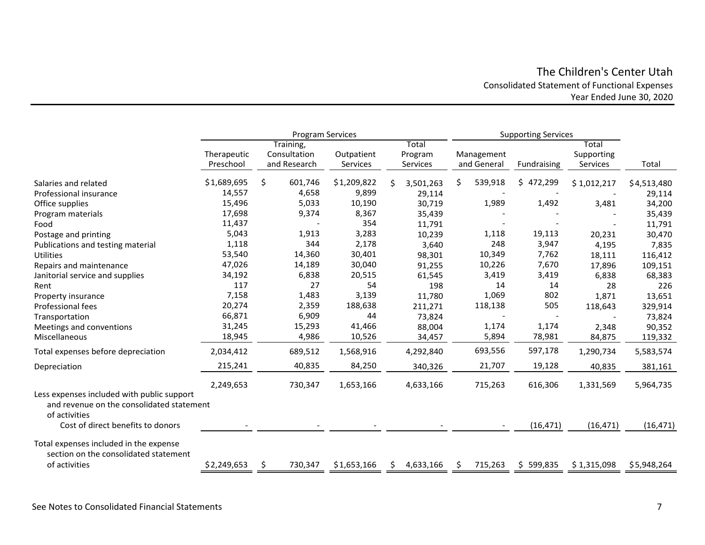# The Children's Center Utah Consolidated Statement of Functional Expenses Year Ended June 30, 2020

|                                                                                                 | <b>Program Services</b>  |                                           |         |                                                        |    |           |                           |         |                                                |             |             |  |
|-------------------------------------------------------------------------------------------------|--------------------------|-------------------------------------------|---------|--------------------------------------------------------|----|-----------|---------------------------|---------|------------------------------------------------|-------------|-------------|--|
|                                                                                                 | Therapeutic<br>Preschool | Training,<br>Consultation<br>and Research |         | Total<br>Outpatient<br>Program<br>Services<br>Services |    |           | Management<br>and General |         | Total<br>Supporting<br>Fundraising<br>Services |             | Total       |  |
| Salaries and related                                                                            | \$1,689,695              | \$                                        | 601,746 | \$1,209,822                                            | Ś. | 3,501,263 | \$                        | 539,918 | \$472,299                                      | \$1,012,217 | \$4,513,480 |  |
| Professional insurance                                                                          | 14,557                   |                                           | 4,658   | 9,899                                                  |    | 29,114    |                           |         |                                                |             | 29,114      |  |
| Office supplies                                                                                 | 15,496                   |                                           | 5,033   | 10,190                                                 |    | 30,719    |                           | 1,989   | 1,492                                          | 3,481       | 34,200      |  |
| Program materials                                                                               | 17,698                   |                                           | 9,374   | 8,367                                                  |    | 35,439    |                           |         |                                                |             | 35,439      |  |
| Food                                                                                            | 11,437                   |                                           |         | 354                                                    |    | 11,791    |                           |         |                                                |             | 11,791      |  |
| Postage and printing                                                                            | 5,043                    |                                           | 1,913   | 3,283                                                  |    | 10,239    |                           | 1,118   | 19,113                                         | 20,231      | 30,470      |  |
| Publications and testing material                                                               | 1,118                    |                                           | 344     | 2,178                                                  |    | 3,640     |                           | 248     | 3,947                                          | 4,195       | 7,835       |  |
| Utilities                                                                                       | 53,540                   |                                           | 14,360  | 30,401                                                 |    | 98,301    |                           | 10,349  | 7,762                                          | 18,111      | 116,412     |  |
| Repairs and maintenance                                                                         | 47,026                   |                                           | 14,189  | 30,040                                                 |    | 91,255    |                           | 10,226  | 7,670                                          | 17,896      | 109,151     |  |
| Janitorial service and supplies                                                                 | 34,192                   |                                           | 6,838   | 20,515                                                 |    | 61,545    |                           | 3,419   | 3,419                                          | 6,838       | 68,383      |  |
| Rent                                                                                            | 117                      |                                           | 27      | 54                                                     |    | 198       |                           | 14      | 14                                             | 28          | 226         |  |
| Property insurance                                                                              | 7,158                    |                                           | 1,483   | 3,139                                                  |    | 11,780    |                           | 1,069   | 802                                            | 1,871       | 13,651      |  |
| Professional fees                                                                               | 20,274                   |                                           | 2,359   | 188,638                                                |    | 211,271   |                           | 118,138 | 505                                            | 118,643     | 329,914     |  |
| Transportation                                                                                  | 66,871                   |                                           | 6,909   | 44                                                     |    | 73,824    |                           |         |                                                |             | 73,824      |  |
| Meetings and conventions                                                                        | 31,245                   |                                           | 15,293  | 41,466                                                 |    | 88,004    |                           | 1,174   | 1,174                                          | 2,348       | 90,352      |  |
| Miscellaneous                                                                                   | 18,945                   |                                           | 4,986   | 10,526                                                 |    | 34,457    |                           | 5,894   | 78,981                                         | 84,875      | 119,332     |  |
| Total expenses before depreciation                                                              | 2,034,412                |                                           | 689,512 | 1,568,916                                              |    | 4,292,840 |                           | 693,556 | 597,178                                        | 1,290,734   | 5,583,574   |  |
| Depreciation                                                                                    | 215,241                  |                                           | 40,835  | 84,250                                                 |    | 340,326   |                           | 21,707  | 19,128                                         | 40,835      | 381,161     |  |
| Less expenses included with public support                                                      | 2,249,653                |                                           | 730,347 | 1,653,166                                              |    | 4,633,166 |                           | 715,263 | 616,306                                        | 1,331,569   | 5,964,735   |  |
| and revenue on the consolidated statement<br>of activities<br>Cost of direct benefits to donors |                          |                                           |         |                                                        |    |           |                           |         | (16, 471)                                      | (16, 471)   | (16, 471)   |  |
| Total expenses included in the expense<br>section on the consolidated statement                 |                          |                                           |         |                                                        |    |           |                           |         |                                                |             |             |  |
| of activities                                                                                   | \$2,249,653              | S                                         | 730,347 | \$1,653,166                                            | S  | 4,633,166 |                           | 715,263 | \$599,835                                      | \$1,315,098 | \$5,948,264 |  |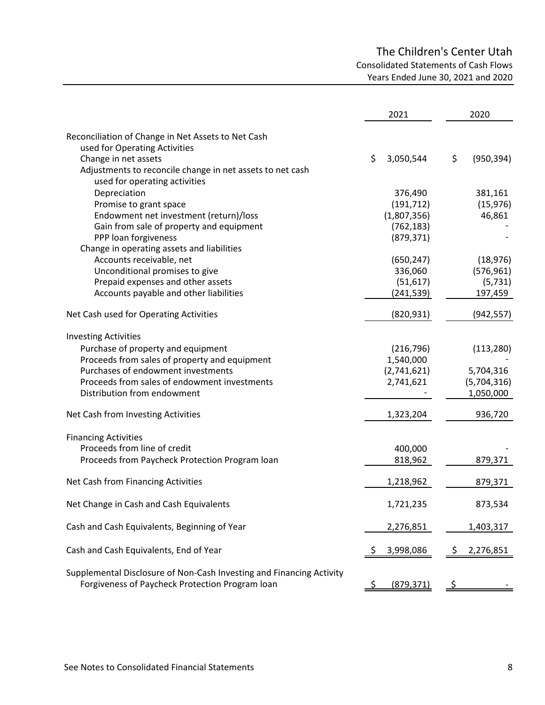# The Children's Center Utah Consolidated Statements of Cash Flows Years Ended June 30, 2021 and 2020

<span id="page-9-0"></span>

|                                                                                                                         | 2021            | 2020             |
|-------------------------------------------------------------------------------------------------------------------------|-----------------|------------------|
| Reconciliation of Change in Net Assets to Net Cash<br>used for Operating Activities                                     |                 |                  |
| Change in net assets                                                                                                    | \$<br>3,050,544 | \$<br>(950, 394) |
| Adjustments to reconcile change in net assets to net cash                                                               |                 |                  |
| used for operating activities                                                                                           |                 |                  |
| Depreciation                                                                                                            | 376,490         | 381,161          |
| Promise to grant space                                                                                                  | (191, 712)      | (15, 976)        |
| Endowment net investment (return)/loss                                                                                  | (1,807,356)     | 46,861           |
| Gain from sale of property and equipment                                                                                | (762, 183)      |                  |
| PPP loan forgiveness                                                                                                    | (879, 371)      |                  |
| Change in operating assets and liabilities                                                                              |                 |                  |
| Accounts receivable, net                                                                                                | (650, 247)      | (18, 976)        |
| Unconditional promises to give                                                                                          | 336,060         | (576, 961)       |
| Prepaid expenses and other assets                                                                                       | (51, 617)       | (5, 731)         |
| Accounts payable and other liabilities                                                                                  | (241, 539)      | 197,459          |
| Net Cash used for Operating Activities                                                                                  | (820, 931)      | (942, 557)       |
| <b>Investing Activities</b>                                                                                             |                 |                  |
| Purchase of property and equipment                                                                                      | (216, 796)      | (113, 280)       |
| Proceeds from sales of property and equipment                                                                           | 1,540,000       |                  |
| Purchases of endowment investments                                                                                      | (2,741,621)     | 5,704,316        |
| Proceeds from sales of endowment investments                                                                            | 2,741,621       | (5,704,316)      |
| Distribution from endowment                                                                                             |                 | 1,050,000        |
| Net Cash from Investing Activities                                                                                      | 1,323,204       | 936,720          |
| <b>Financing Activities</b>                                                                                             |                 |                  |
| Proceeds from line of credit                                                                                            | 400,000         |                  |
| Proceeds from Paycheck Protection Program loan                                                                          | 818,962         | 879,371          |
| Net Cash from Financing Activities                                                                                      | 1,218,962       | 879,371          |
| Net Change in Cash and Cash Equivalents                                                                                 | 1,721,235       | 873,534          |
| Cash and Cash Equivalents, Beginning of Year                                                                            | 2,276,851       | 1,403,317        |
| Cash and Cash Equivalents, End of Year                                                                                  | 3,998,086<br>\$ | \$<br>2,276,851  |
| Supplemental Disclosure of Non-Cash Investing and Financing Activity<br>Forgiveness of Paycheck Protection Program loan | (879, 371)<br>S |                  |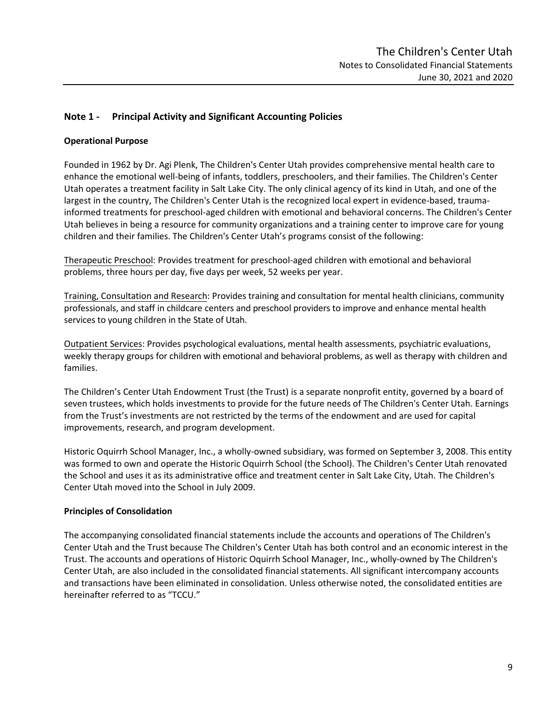# <span id="page-10-0"></span>**Note 1 - Principal Activity and Significant Accounting Policies**

### **Operational Purpose**

Founded in 1962 by Dr. Agi Plenk, The Children's Center Utah provides comprehensive mental health care to enhance the emotional well-being of infants, toddlers, preschoolers, and their families. The Children's Center Utah operates a treatment facility in Salt Lake City. The only clinical agency of its kind in Utah, and one of the largest in the country, The Children's Center Utah is the recognized local expert in evidence-based, traumainformed treatments for preschool-aged children with emotional and behavioral concerns. The Children's Center Utah believes in being a resource for community organizations and a training center to improve care for young children and their families. The Children's Center Utah's programs consist of the following:

Therapeutic Preschool: Provides treatment for preschool-aged children with emotional and behavioral problems, three hours per day, five days per week, 52 weeks per year.

Training, Consultation and Research: Provides training and consultation for mental health clinicians, community professionals, and staff in childcare centers and preschool providers to improve and enhance mental health services to young children in the State of Utah.

Outpatient Services: Provides psychological evaluations, mental health assessments, psychiatric evaluations, weekly therapy groups for children with emotional and behavioral problems, as well as therapy with children and families.

The Children's Center Utah Endowment Trust (the Trust) is a separate nonprofit entity, governed by a board of seven trustees, which holds investments to provide for the future needs of The Children's Center Utah. Earnings from the Trust's investments are not restricted by the terms of the endowment and are used for capital improvements, research, and program development.

Historic Oquirrh School Manager, Inc., a wholly-owned subsidiary, was formed on September 3, 2008. This entity was formed to own and operate the Historic Oquirrh School (the School). The Children's Center Utah renovated the School and uses it as its administrative office and treatment center in Salt Lake City, Utah. The Children's Center Utah moved into the School in July 2009.

## **Principles of Consolidation**

The accompanying consolidated financial statements include the accounts and operations of The Children's Center Utah and the Trust because The Children's Center Utah has both control and an economic interest in the Trust. The accounts and operations of Historic Oquirrh School Manager, Inc., wholly-owned by The Children's Center Utah, are also included in the consolidated financial statements. All significant intercompany accounts and transactions have been eliminated in consolidation. Unless otherwise noted, the consolidated entities are hereinafter referred to as "TCCU."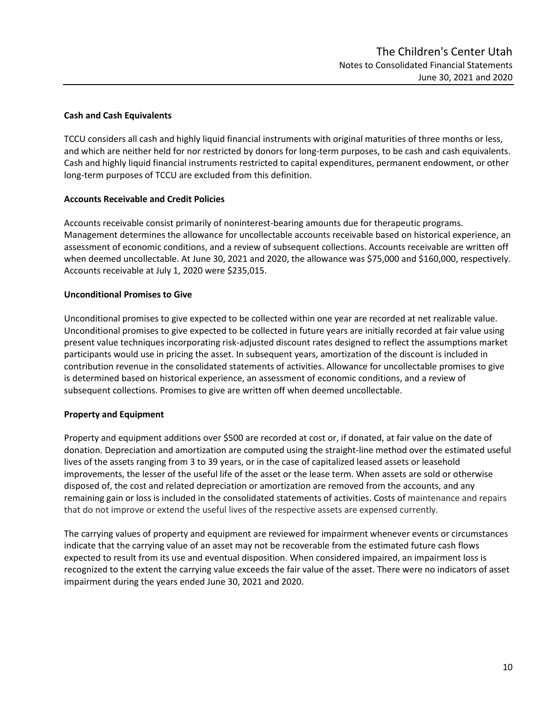### **Cash and Cash Equivalents**

TCCU considers all cash and highly liquid financial instruments with original maturities of three months or less, and which are neither held for nor restricted by donors for long-term purposes, to be cash and cash equivalents. Cash and highly liquid financial instruments restricted to capital expenditures, permanent endowment, or other long-term purposes of TCCU are excluded from this definition.

### **Accounts Receivable and Credit Policies**

Accounts receivable consist primarily of noninterest-bearing amounts due for therapeutic programs. Management determines the allowance for uncollectable accounts receivable based on historical experience, an assessment of economic conditions, and a review of subsequent collections. Accounts receivable are written off when deemed uncollectable. At June 30, 2021 and 2020, the allowance was \$75,000 and \$160,000, respectively. Accounts receivable at July 1, 2020 were \$235,015.

### **Unconditional Promises to Give**

Unconditional promises to give expected to be collected within one year are recorded at net realizable value. Unconditional promises to give expected to be collected in future years are initially recorded at fair value using present value techniques incorporating risk-adjusted discount rates designed to reflect the assumptions market participants would use in pricing the asset. In subsequent years, amortization of the discount is included in contribution revenue in the consolidated statements of activities. Allowance for uncollectable promises to give is determined based on historical experience, an assessment of economic conditions, and a review of subsequent collections. Promises to give are written off when deemed uncollectable.

## **Property and Equipment**

Property and equipment additions over \$500 are recorded at cost or, if donated, at fair value on the date of donation. Depreciation and amortization are computed using the straight-line method over the estimated useful lives of the assets ranging from 3 to 39 years, or in the case of capitalized leased assets or leasehold improvements, the lesser of the useful life of the asset or the lease term. When assets are sold or otherwise disposed of, the cost and related depreciation or amortization are removed from the accounts, and any remaining gain or loss is included in the consolidated statements of activities. Costs of maintenance and repairs that do not improve or extend the useful lives of the respective assets are expensed currently.

The carrying values of property and equipment are reviewed for impairment whenever events or circumstances indicate that the carrying value of an asset may not be recoverable from the estimated future cash flows expected to result from its use and eventual disposition. When considered impaired, an impairment loss is recognized to the extent the carrying value exceeds the fair value of the asset. There were no indicators of asset impairment during the years ended June 30, 2021 and 2020.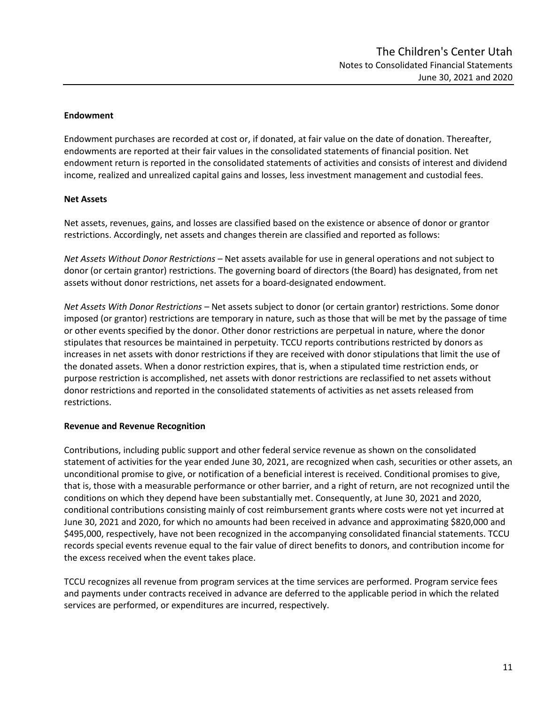### **Endowment**

Endowment purchases are recorded at cost or, if donated, at fair value on the date of donation. Thereafter, endowments are reported at their fair values in the consolidated statements of financial position. Net endowment return is reported in the consolidated statements of activities and consists of interest and dividend income, realized and unrealized capital gains and losses, less investment management and custodial fees.

### **Net Assets**

Net assets, revenues, gains, and losses are classified based on the existence or absence of donor or grantor restrictions. Accordingly, net assets and changes therein are classified and reported as follows:

*Net Assets Without Donor Restrictions* – Net assets available for use in general operations and not subject to donor (or certain grantor) restrictions. The governing board of directors (the Board) has designated, from net assets without donor restrictions, net assets for a board-designated endowment.

*Net Assets With Donor Restrictions* – Net assets subject to donor (or certain grantor) restrictions. Some donor imposed (or grantor) restrictions are temporary in nature, such as those that will be met by the passage of time or other events specified by the donor. Other donor restrictions are perpetual in nature, where the donor stipulates that resources be maintained in perpetuity. TCCU reports contributions restricted by donors as increases in net assets with donor restrictions if they are received with donor stipulations that limit the use of the donated assets. When a donor restriction expires, that is, when a stipulated time restriction ends, or purpose restriction is accomplished, net assets with donor restrictions are reclassified to net assets without donor restrictions and reported in the consolidated statements of activities as net assets released from restrictions.

### **Revenue and Revenue Recognition**

Contributions, including public support and other federal service revenue as shown on the consolidated statement of activities for the year ended June 30, 2021, are recognized when cash, securities or other assets, an unconditional promise to give, or notification of a beneficial interest is received. Conditional promises to give, that is, those with a measurable performance or other barrier, and a right of return, are not recognized until the conditions on which they depend have been substantially met. Consequently, at June 30, 2021 and 2020, conditional contributions consisting mainly of cost reimbursement grants where costs were not yet incurred at June 30, 2021 and 2020, for which no amounts had been received in advance and approximating \$820,000 and \$495,000, respectively, have not been recognized in the accompanying consolidated financial statements. TCCU records special events revenue equal to the fair value of direct benefits to donors, and contribution income for the excess received when the event takes place.

TCCU recognizes all revenue from program services at the time services are performed. Program service fees and payments under contracts received in advance are deferred to the applicable period in which the related services are performed, or expenditures are incurred, respectively.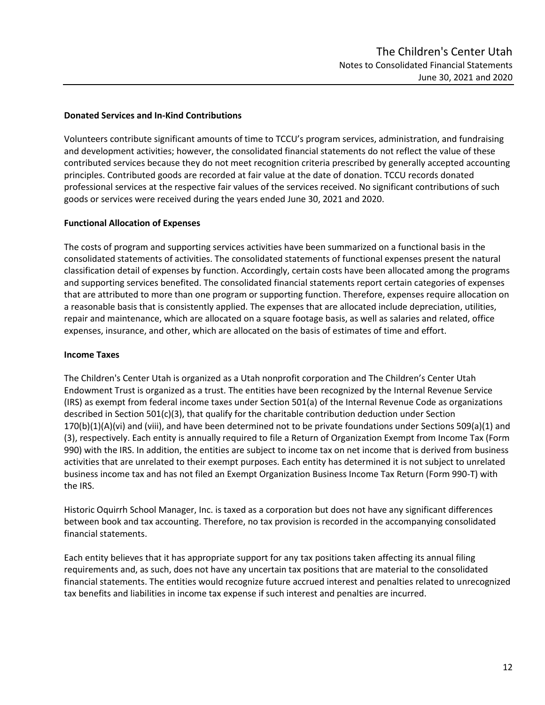### **Donated Services and In-Kind Contributions**

Volunteers contribute significant amounts of time to TCCU's program services, administration, and fundraising and development activities; however, the consolidated financial statements do not reflect the value of these contributed services because they do not meet recognition criteria prescribed by generally accepted accounting principles. Contributed goods are recorded at fair value at the date of donation. TCCU records donated professional services at the respective fair values of the services received. No significant contributions of such goods or services were received during the years ended June 30, 2021 and 2020.

### **Functional Allocation of Expenses**

The costs of program and supporting services activities have been summarized on a functional basis in the consolidated statements of activities. The consolidated statements of functional expenses present the natural classification detail of expenses by function. Accordingly, certain costs have been allocated among the programs and supporting services benefited. The consolidated financial statements report certain categories of expenses that are attributed to more than one program or supporting function. Therefore, expenses require allocation on a reasonable basis that is consistently applied. The expenses that are allocated include depreciation, utilities, repair and maintenance, which are allocated on a square footage basis, as well as salaries and related, office expenses, insurance, and other, which are allocated on the basis of estimates of time and effort.

### **Income Taxes**

The Children's Center Utah is organized as a Utah nonprofit corporation and The Children's Center Utah Endowment Trust is organized as a trust. The entities have been recognized by the Internal Revenue Service (IRS) as exempt from federal income taxes under Section 501(a) of the Internal Revenue Code as organizations described in Section 501(c)(3), that qualify for the charitable contribution deduction under Section 170(b)(1)(A)(vi) and (viii), and have been determined not to be private foundations under Sections 509(a)(1) and (3), respectively. Each entity is annually required to file a Return of Organization Exempt from Income Tax (Form 990) with the IRS. In addition, the entities are subject to income tax on net income that is derived from business activities that are unrelated to their exempt purposes. Each entity has determined it is not subject to unrelated business income tax and has not filed an Exempt Organization Business Income Tax Return (Form 990-T) with the IRS.

Historic Oquirrh School Manager, Inc. is taxed as a corporation but does not have any significant differences between book and tax accounting. Therefore, no tax provision is recorded in the accompanying consolidated financial statements.

Each entity believes that it has appropriate support for any tax positions taken affecting its annual filing requirements and, as such, does not have any uncertain tax positions that are material to the consolidated financial statements. The entities would recognize future accrued interest and penalties related to unrecognized tax benefits and liabilities in income tax expense if such interest and penalties are incurred.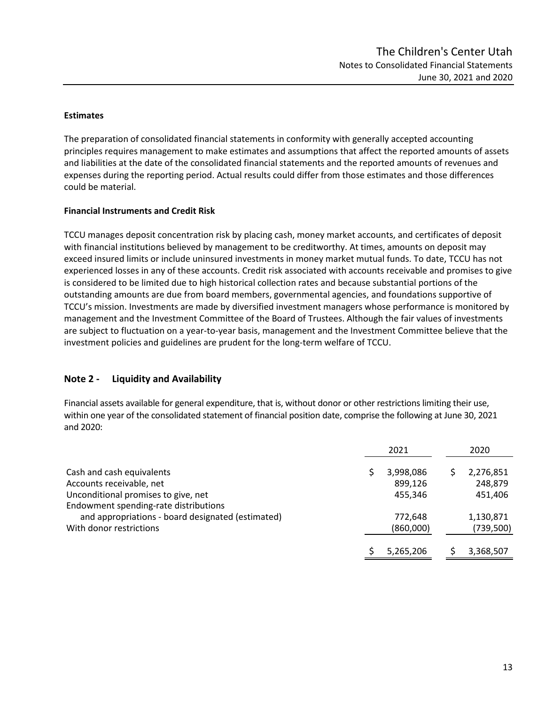### **Estimates**

The preparation of consolidated financial statements in conformity with generally accepted accounting principles requires management to make estimates and assumptions that affect the reported amounts of assets and liabilities at the date of the consolidated financial statements and the reported amounts of revenues and expenses during the reporting period. Actual results could differ from those estimates and those differences could be material.

### **Financial Instruments and Credit Risk**

TCCU manages deposit concentration risk by placing cash, money market accounts, and certificates of deposit with financial institutions believed by management to be creditworthy. At times, amounts on deposit may exceed insured limits or include uninsured investments in money market mutual funds. To date, TCCU has not experienced losses in any of these accounts. Credit risk associated with accounts receivable and promises to give is considered to be limited due to high historical collection rates and because substantial portions of the outstanding amounts are due from board members, governmental agencies, and foundations supportive of TCCU's mission. Investments are made by diversified investment managers whose performance is monitored by management and the Investment Committee of the Board of Trustees. Although the fair values of investments are subject to fluctuation on a year-to-year basis, management and the Investment Committee believe that the investment policies and guidelines are prudent for the long-term welfare of TCCU.

## **Note 2 - Liquidity and Availability**

Financial assets available for general expenditure, that is, without donor or other restrictions limiting their use, within one year of the consolidated statement of financial position date, comprise the following at June 30, 2021 and 2020:

|                                                   | 2021      |  | 2020      |
|---------------------------------------------------|-----------|--|-----------|
| Cash and cash equivalents                         | 3,998,086 |  | 2,276,851 |
| Accounts receivable, net                          | 899,126   |  | 248,879   |
| Unconditional promises to give, net               | 455,346   |  | 451,406   |
| Endowment spending-rate distributions             |           |  |           |
| and appropriations - board designated (estimated) | 772,648   |  | 1,130,871 |
| With donor restrictions                           | (860,000) |  | (739,500) |
|                                                   | 5,265,206 |  | 3,368,507 |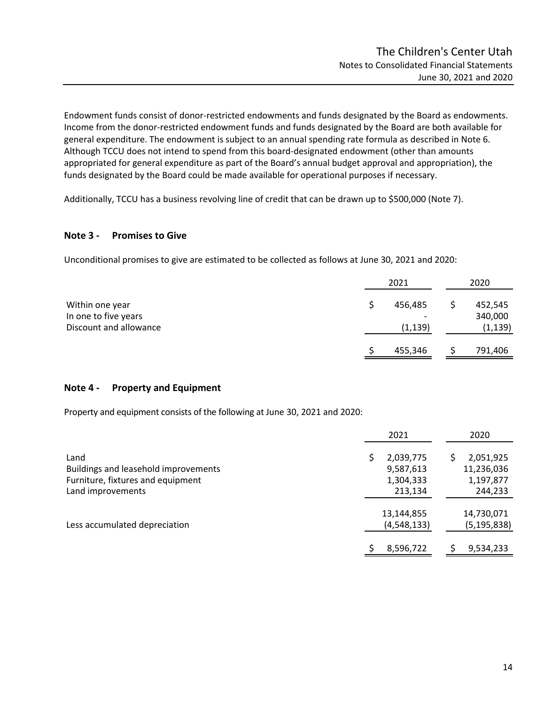Endowment funds consist of donor-restricted endowments and funds designated by the Board as endowments. Income from the donor-restricted endowment funds and funds designated by the Board are both available for general expenditure. The endowment is subject to an annual spending rate formula as described in Note 6. Although TCCU does not intend to spend from this board-designated endowment (other than amounts appropriated for general expenditure as part of the Board's annual budget approval and appropriation), the funds designated by the Board could be made available for operational purposes if necessary.

Additionally, TCCU has a business revolving line of credit that can be drawn up to \$500,000 (Note 7).

### **Note 3 - Promises to Give**

Unconditional promises to give are estimated to be collected as follows at June 30, 2021 and 2020:

|                                                                   | 2021 |                                                 | 2020                           |
|-------------------------------------------------------------------|------|-------------------------------------------------|--------------------------------|
| Within one year<br>In one to five years<br>Discount and allowance |      | 456,485<br>$\overline{\phantom{a}}$<br>(1, 139) | 452,545<br>340,000<br>(1, 139) |
|                                                                   |      | 455,346                                         | 791,406                        |

## **Note 4 - Property and Equipment**

Property and equipment consists of the following at June 30, 2021 and 2020:

|                                      | 2021        | 2020          |
|--------------------------------------|-------------|---------------|
| Land                                 | 2,039,775   | 2,051,925     |
| Buildings and leasehold improvements | 9,587,613   | 11,236,036    |
| Furniture, fixtures and equipment    | 1,304,333   | 1,197,877     |
| Land improvements                    | 213,134     | 244,233       |
|                                      | 13,144,855  | 14,730,071    |
| Less accumulated depreciation        | (4,548,133) | (5, 195, 838) |
|                                      | 8,596,722   | 9,534,233     |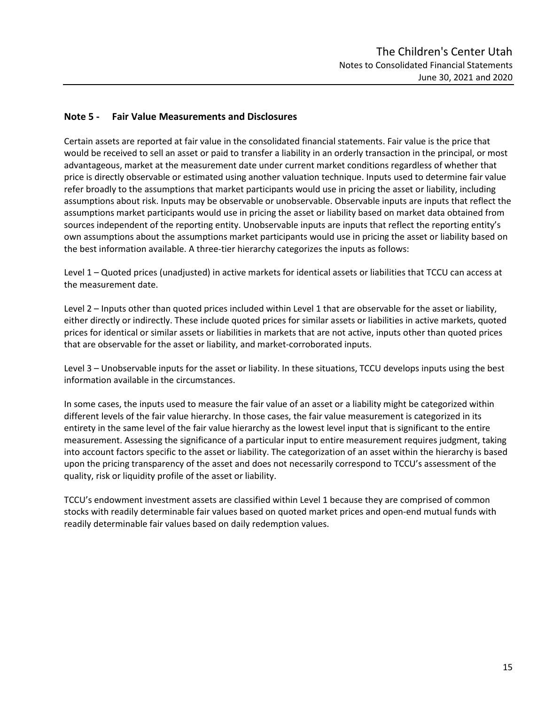# **Note 5 - Fair Value Measurements and Disclosures**

Certain assets are reported at fair value in the consolidated financial statements. Fair value is the price that would be received to sell an asset or paid to transfer a liability in an orderly transaction in the principal, or most advantageous, market at the measurement date under current market conditions regardless of whether that price is directly observable or estimated using another valuation technique. Inputs used to determine fair value refer broadly to the assumptions that market participants would use in pricing the asset or liability, including assumptions about risk. Inputs may be observable or unobservable. Observable inputs are inputs that reflect the assumptions market participants would use in pricing the asset or liability based on market data obtained from sources independent of the reporting entity. Unobservable inputs are inputs that reflect the reporting entity's own assumptions about the assumptions market participants would use in pricing the asset or liability based on the best information available. A three-tier hierarchy categorizes the inputs as follows:

Level 1 – Quoted prices (unadjusted) in active markets for identical assets or liabilities that TCCU can access at the measurement date.

Level 2 – Inputs other than quoted prices included within Level 1 that are observable for the asset or liability, either directly or indirectly. These include quoted prices for similar assets or liabilities in active markets, quoted prices for identical or similar assets or liabilities in markets that are not active, inputs other than quoted prices that are observable for the asset or liability, and market-corroborated inputs.

Level 3 – Unobservable inputs for the asset or liability. In these situations, TCCU develops inputs using the best information available in the circumstances.

In some cases, the inputs used to measure the fair value of an asset or a liability might be categorized within different levels of the fair value hierarchy. In those cases, the fair value measurement is categorized in its entirety in the same level of the fair value hierarchy as the lowest level input that is significant to the entire measurement. Assessing the significance of a particular input to entire measurement requires judgment, taking into account factors specific to the asset or liability. The categorization of an asset within the hierarchy is based upon the pricing transparency of the asset and does not necessarily correspond to TCCU's assessment of the quality, risk or liquidity profile of the asset or liability.

TCCU's endowment investment assets are classified within Level 1 because they are comprised of common stocks with readily determinable fair values based on quoted market prices and open-end mutual funds with readily determinable fair values based on daily redemption values.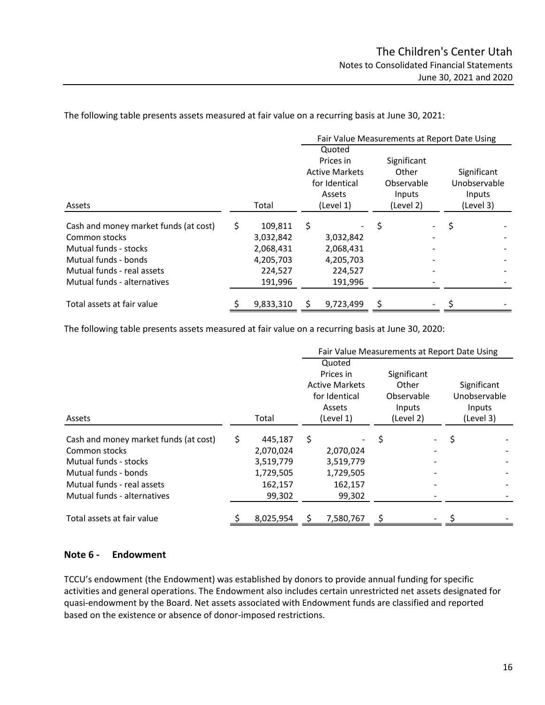Quoted Prices in Significant Active Markets **Other** Significant for Identical Observable Unobservable Assets Inputs Inputs Assets Total (Level 1) (Level 2) (Level 3) The Children's Center Utah<br>
Notes to Consolidated Financial Statements<br>
Inne 30, 2021 and 2020<br>
The following table presents assets measured at fair value on a recurring basis at June 30, 2021<br>
The Shutz Measurements at Re The Children's Center Utah<br>
Notes to Consolidated Financial Statements<br>
Inne 30, 2021 and 2020<br>
The following table presents assets measured at fair value on a recurring basis at June 30, 2021:<br>
Total<br>
Price Markets<br>
Acces Fair Value Measurements at Report Date Using

The following table presents assets measured at fair value on a recurring basis at June 30, 2021:

|                                                                                                                                                                                                                                |               | Fair Value Measurements at Report Date Using |                                              |             |             |              |  |  |
|--------------------------------------------------------------------------------------------------------------------------------------------------------------------------------------------------------------------------------|---------------|----------------------------------------------|----------------------------------------------|-------------|-------------|--------------|--|--|
|                                                                                                                                                                                                                                |               |                                              | Quoted                                       |             |             |              |  |  |
|                                                                                                                                                                                                                                |               |                                              | Prices in                                    | Significant |             |              |  |  |
|                                                                                                                                                                                                                                |               |                                              | <b>Active Markets</b>                        | Other       |             | Significant  |  |  |
|                                                                                                                                                                                                                                |               |                                              | for Identical                                | Observable  |             | Unobservable |  |  |
|                                                                                                                                                                                                                                |               |                                              | Assets                                       | Inputs      |             | Inputs       |  |  |
| Assets                                                                                                                                                                                                                         | Total         |                                              | (Level 1)                                    | (Level 2)   |             | (Level 3)    |  |  |
|                                                                                                                                                                                                                                |               |                                              |                                              |             |             |              |  |  |
| Cash and money market funds (at cost)                                                                                                                                                                                          | \$<br>109,811 | \$                                           |                                              | \$          |             | \$           |  |  |
| Common stocks                                                                                                                                                                                                                  | 3,032,842     |                                              | 3,032,842                                    |             |             |              |  |  |
| Mutual funds - stocks                                                                                                                                                                                                          | 2,068,431     |                                              | 2,068,431                                    |             |             |              |  |  |
| Mutual funds - bonds                                                                                                                                                                                                           | 4,205,703     |                                              | 4,205,703                                    |             |             |              |  |  |
| Mutual funds - real assets                                                                                                                                                                                                     | 224,527       |                                              | 224,527                                      |             |             |              |  |  |
| Mutual funds - alternatives                                                                                                                                                                                                    | 191,996       |                                              | 191,996                                      |             |             |              |  |  |
|                                                                                                                                                                                                                                |               |                                              |                                              |             |             |              |  |  |
| Total assets at fair value                                                                                                                                                                                                     | 9,833,310     | Ş                                            | 9,723,499                                    | \$          |             | \$           |  |  |
| The following table presents assets measured at fair value on a recurring basis at June 30, 2020:                                                                                                                              |               |                                              |                                              |             |             |              |  |  |
|                                                                                                                                                                                                                                |               |                                              | Fair Value Measurements at Report Date Using |             |             |              |  |  |
|                                                                                                                                                                                                                                |               |                                              | Quoted                                       |             |             |              |  |  |
|                                                                                                                                                                                                                                |               |                                              | Prices in                                    |             | Significant |              |  |  |
|                                                                                                                                                                                                                                |               |                                              | <b>Active Markets</b>                        |             | Other       | Significant  |  |  |
|                                                                                                                                                                                                                                |               |                                              | for Identical                                |             | Observable  | Unobservable |  |  |
|                                                                                                                                                                                                                                |               |                                              | Assets                                       |             | Inputs      | Inputs       |  |  |
| Assets                                                                                                                                                                                                                         | Total         |                                              | (Level 1)                                    |             | (Level 2)   | (Level 3)    |  |  |
|                                                                                                                                                                                                                                |               |                                              |                                              |             |             |              |  |  |
| Cash and money market funds (at cost)                                                                                                                                                                                          | \$<br>445,187 | \$                                           |                                              | \$          |             | \$           |  |  |
| Common stocks                                                                                                                                                                                                                  | 2,070,024     |                                              | 2,070,024                                    |             |             |              |  |  |
| Mutual funds - stocks                                                                                                                                                                                                          | 3,519,779     |                                              | 3,519,779                                    |             |             |              |  |  |
| Mutual funds - bonds                                                                                                                                                                                                           | 1,729,505     |                                              | 1,729,505                                    |             |             |              |  |  |
| Mutual funds - real assets                                                                                                                                                                                                     | 162,157       |                                              | 162,157                                      |             |             |              |  |  |
| Mutual funds - alternatives                                                                                                                                                                                                    | 99,302        |                                              | 99,302                                       |             |             |              |  |  |
|                                                                                                                                                                                                                                |               |                                              |                                              |             |             |              |  |  |
|                                                                                                                                                                                                                                | 8,025,954     |                                              | 7,580,767                                    |             |             |              |  |  |
|                                                                                                                                                                                                                                |               |                                              |                                              |             |             |              |  |  |
|                                                                                                                                                                                                                                |               |                                              |                                              |             |             |              |  |  |
| Total assets at fair value<br><b>Endowment</b>                                                                                                                                                                                 |               |                                              |                                              |             |             |              |  |  |
|                                                                                                                                                                                                                                |               |                                              |                                              |             |             |              |  |  |
|                                                                                                                                                                                                                                |               |                                              |                                              |             |             |              |  |  |
| Note 6 -<br>TCCU's endowment (the Endowment) was established by donors to provide annual funding for specific<br>activities and general operations. The Endowment also includes certain unrestricted net assets designated for |               |                                              |                                              |             |             |              |  |  |
| quasi-endowment by the Board. Net assets associated with Endowment funds are classified and reported                                                                                                                           |               |                                              |                                              |             |             |              |  |  |

### **Note 6 - Endowment**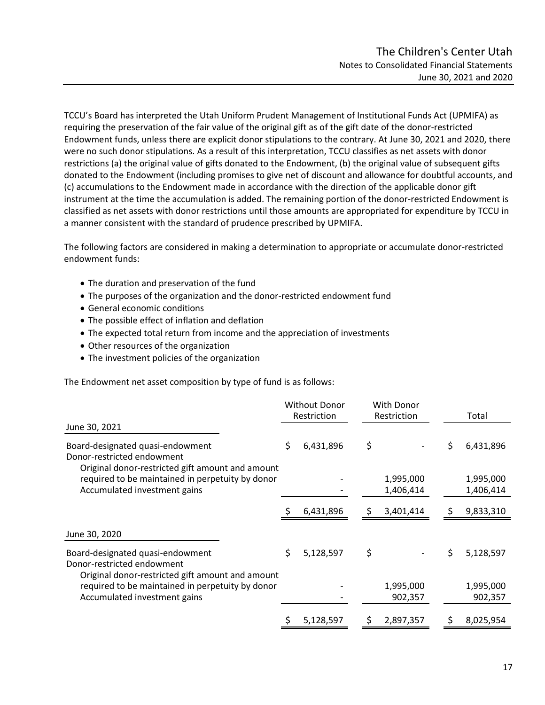TCCU's Board has interpreted the Utah Uniform Prudent Management of Institutional Funds Act (UPMIFA) as requiring the preservation of the fair value of the original gift as of the gift date of the donor-restricted Endowment funds, unless there are explicit donor stipulations to the contrary. At June 30, 2021 and 2020, there were no such donor stipulations. As a result of this interpretation, TCCU classifies as net assets with donor restrictions (a) the original value of gifts donated to the Endowment, (b) the original value of subsequent gifts donated to the Endowment (including promises to give net of discount and allowance for doubtful accounts, and (c) accumulations to the Endowment made in accordance with the direction of the applicable donor gift instrument at the time the accumulation is added. The remaining portion of the donor-restricted Endowment is classified as net assets with donor restrictions until those amounts are appropriated for expenditure by TCCU in a manner consistent with the standard of prudence prescribed by UPMIFA.

The following factors are considered in making a determination to appropriate or accumulate donor-restricted endowment funds:

- The duration and preservation of the fund
- The purposes of the organization and the donor-restricted endowment fund
- General economic conditions
- The possible effect of inflation and deflation
- The expected total return from income and the appreciation of investments
- Other resources of the organization
- The investment policies of the organization

The Endowment net asset composition by type of fund is as follows:

| June 30, 2021                                                                                                      |    | <b>Without Donor</b><br>Restriction |    | <b>With Donor</b><br>Restriction | Total |                        |  |
|--------------------------------------------------------------------------------------------------------------------|----|-------------------------------------|----|----------------------------------|-------|------------------------|--|
| Board-designated quasi-endowment<br>Donor-restricted endowment<br>Original donor-restricted gift amount and amount | Ś  | 6,431,896                           | \$ |                                  | S     | 6,431,896              |  |
| required to be maintained in perpetuity by donor<br>Accumulated investment gains                                   |    |                                     |    | 1,995,000<br>1,406,414           |       | 1,995,000<br>1,406,414 |  |
|                                                                                                                    |    | 6,431,896                           | S  | 3,401,414                        | S     | 9,833,310              |  |
| June 30, 2020                                                                                                      |    |                                     |    |                                  |       |                        |  |
| Board-designated quasi-endowment<br>Donor-restricted endowment<br>Original donor-restricted gift amount and amount | \$ | 5,128,597                           | \$ |                                  | \$    | 5,128,597              |  |
| required to be maintained in perpetuity by donor<br>Accumulated investment gains                                   |    |                                     |    | 1,995,000<br>902,357             |       | 1,995,000<br>902,357   |  |
|                                                                                                                    |    | 5,128,597                           | S  | 2,897,357                        |       | 8,025,954              |  |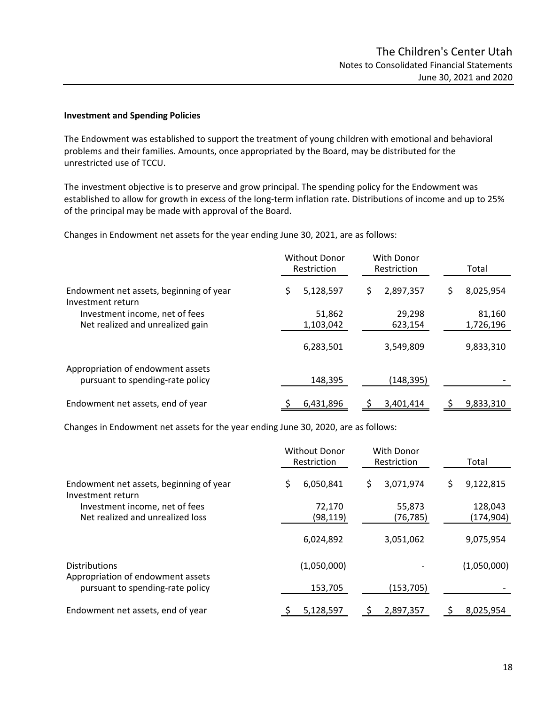#### **Investment and Spending Policies**

The Endowment was established to support the treatment of young children with emotional and behavioral problems and their families. Amounts, once appropriated by the Board, may be distributed for the unrestricted use of TCCU.

The investment objective is to preserve and grow principal. The spending policy for the Endowment was established to allow for growth in excess of the long-term inflation rate. Distributions of income and up to 25% of the principal may be made with approval of the Board.

Changes in Endowment net assets for the year ending June 30, 2021, are as follows:

|                                                                       | <b>Without Donor</b><br>Restriction | <b>With Donor</b><br>Restriction | Total          |
|-----------------------------------------------------------------------|-------------------------------------|----------------------------------|----------------|
| Endowment net assets, beginning of year<br>Investment return          | 5,128,597<br>\$                     | 2,897,357<br>S                   | 8,025,954<br>S |
| Investment income, net of fees                                        | 51,862                              | 29,298                           | 81,160         |
| Net realized and unrealized gain                                      | 1,103,042                           | 623,154                          | 1,726,196      |
|                                                                       | 6,283,501                           | 3,549,809                        | 9,833,310      |
| Appropriation of endowment assets<br>pursuant to spending-rate policy | 148,395                             | (148,395)                        |                |
| Endowment net assets, end of year                                     | 6,431,896                           | 3,401,414                        | 9,833,310      |

Changes in Endowment net assets for the year ending June 30, 2020, are as follows:

|                                                                       | <b>Without Donor</b><br>Restriction | With Donor<br>Restriction | Total                 |
|-----------------------------------------------------------------------|-------------------------------------|---------------------------|-----------------------|
| Endowment net assets, beginning of year<br>Investment return          | \$<br>6,050,841                     | \$.<br>3,071,974          | 9,122,815<br>Ş.       |
| Investment income, net of fees<br>Net realized and unrealized loss    | 72,170<br>(98, 119)                 | 55,873<br>(76, 785)       | 128,043<br>(174, 904) |
|                                                                       | 6,024,892                           | 3,051,062                 | 9,075,954             |
| <b>Distributions</b>                                                  | (1,050,000)                         |                           | (1,050,000)           |
| Appropriation of endowment assets<br>pursuant to spending-rate policy | 153,705                             | (153, 705)                |                       |
| Endowment net assets, end of year                                     | 5,128,597                           | 2,897,357                 | 8,025,954             |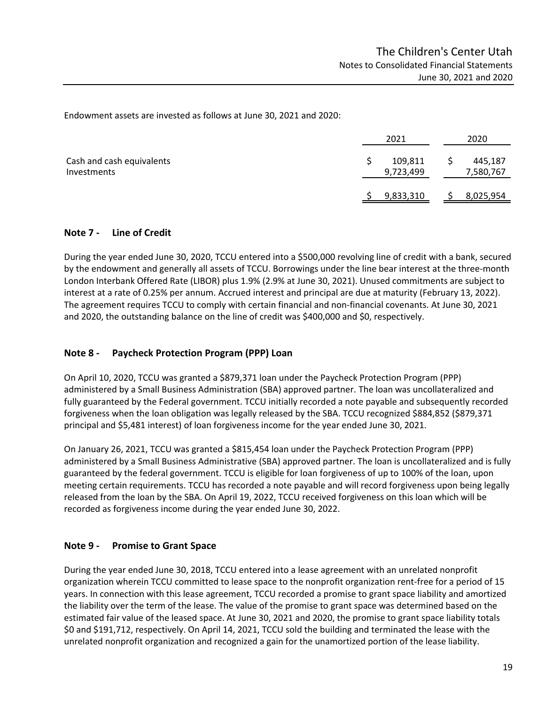Endowment assets are invested as follows at June 30, 2021 and 2020:

|                                          |  | 2021                 |  |                      |
|------------------------------------------|--|----------------------|--|----------------------|
| Cash and cash equivalents<br>Investments |  | 109,811<br>9,723,499 |  | 445,187<br>7,580,767 |
|                                          |  | 9,833,310            |  | 8,025,954            |

## **Note 7 - Line of Credit**

During the year ended June 30, 2020, TCCU entered into a \$500,000 revolving line of credit with a bank, secured by the endowment and generally all assets of TCCU. Borrowings under the line bear interest at the three-month London Interbank Offered Rate (LIBOR) plus 1.9% (2.9% at June 30, 2021). Unused commitments are subject to interest at a rate of 0.25% per annum. Accrued interest and principal are due at maturity (February 13, 2022). The agreement requires TCCU to comply with certain financial and non-financial covenants. At June 30, 2021 and 2020, the outstanding balance on the line of credit was \$400,000 and \$0, respectively.

## **Note 8 - Paycheck Protection Program (PPP) Loan**

On April 10, 2020, TCCU was granted a \$879,371 loan under the Paycheck Protection Program (PPP) administered by a Small Business Administration (SBA) approved partner. The loan was uncollateralized and fully guaranteed by the Federal government. TCCU initially recorded a note payable and subsequently recorded forgiveness when the loan obligation was legally released by the SBA. TCCU recognized \$884,852 (\$879,371 principal and \$5,481 interest) of loan forgiveness income for the year ended June 30, 2021.

On January 26, 2021, TCCU was granted a \$815,454 loan under the Paycheck Protection Program (PPP) administered by a Small Business Administrative (SBA) approved partner. The loan is uncollateralized and is fully guaranteed by the federal government. TCCU is eligible for loan forgiveness of up to 100% of the loan, upon meeting certain requirements. TCCU has recorded a note payable and will record forgiveness upon being legally released from the loan by the SBA. On April 19, 2022, TCCU received forgiveness on this loan which will be recorded as forgiveness income during the year ended June 30, 2022.

## **Note 9 - Promise to Grant Space**

During the year ended June 30, 2018, TCCU entered into a lease agreement with an unrelated nonprofit organization wherein TCCU committed to lease space to the nonprofit organization rent-free for a period of 15 years. In connection with this lease agreement, TCCU recorded a promise to grant space liability and amortized the liability over the term of the lease. The value of the promise to grant space was determined based on the estimated fair value of the leased space. At June 30, 2021 and 2020, the promise to grant space liability totals \$0 and \$191,712, respectively. On April 14, 2021, TCCU sold the building and terminated the lease with the unrelated nonprofit organization and recognized a gain for the unamortized portion of the lease liability.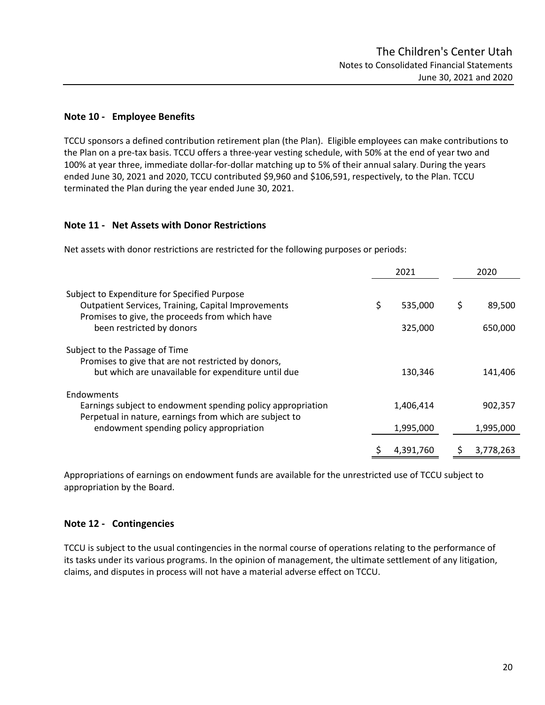## **Note 10 - Employee Benefits**

TCCU sponsors a defined contribution retirement plan (the Plan). Eligible employees can make contributions to the Plan on a pre-tax basis. TCCU offers a three-year vesting schedule, with 50% at the end of year two and 100% at year three, immediate dollar-for-dollar matching up to 5% of their annual salary. During the years ended June 30, 2021 and 2020, TCCU contributed \$9,960 and \$106,591, respectively, to the Plan. TCCU terminated the Plan during the year ended June 30, 2021.

### **Note 11 - Net Assets with Donor Restrictions**

Net assets with donor restrictions are restricted for the following purposes or periods:

|                                                                                                                                                       | 2021 |           | 2020         |
|-------------------------------------------------------------------------------------------------------------------------------------------------------|------|-----------|--------------|
| Subject to Expenditure for Specified Purpose<br>Outpatient Services, Training, Capital Improvements<br>Promises to give, the proceeds from which have | \$   | 535,000   | \$<br>89,500 |
| been restricted by donors                                                                                                                             |      | 325,000   | 650,000      |
| Subject to the Passage of Time<br>Promises to give that are not restricted by donors,                                                                 |      |           |              |
| but which are unavailable for expenditure until due                                                                                                   |      | 130,346   | 141,406      |
| Endowments                                                                                                                                            |      |           |              |
| Earnings subject to endowment spending policy appropriation<br>Perpetual in nature, earnings from which are subject to                                |      | 1,406,414 | 902,357      |
| endowment spending policy appropriation                                                                                                               |      | 1,995,000 | 1,995,000    |
|                                                                                                                                                       |      | 4,391,760 | 3,778,263    |

Appropriations of earnings on endowment funds are available for the unrestricted use of TCCU subject to appropriation by the Board.

### **Note 12 - Contingencies**

TCCU is subject to the usual contingencies in the normal course of operations relating to the performance of its tasks under its various programs. In the opinion of management, the ultimate settlement of any litigation, claims, and disputes in process will not have a material adverse effect on TCCU.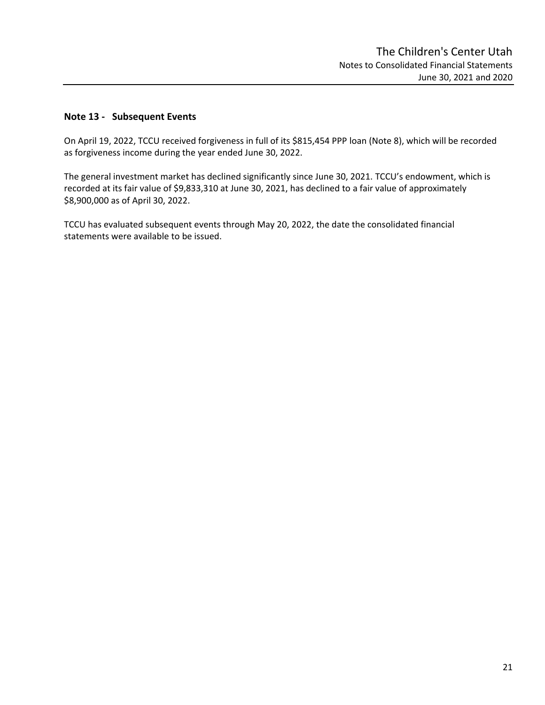# **Note 13 - Subsequent Events**

On April 19, 2022, TCCU received forgiveness in full of its \$815,454 PPP loan (Note 8), which will be recorded as forgiveness income during the year ended June 30, 2022.

The general investment market has declined significantly since June 30, 2021. TCCU's endowment, which is recorded at its fair value of \$9,833,310 at June 30, 2021, has declined to a fair value of approximately \$8,900,000 as of April 30, 2022.

TCCU has evaluated subsequent events through May 20, 2022, the date the consolidated financial statements were available to be issued.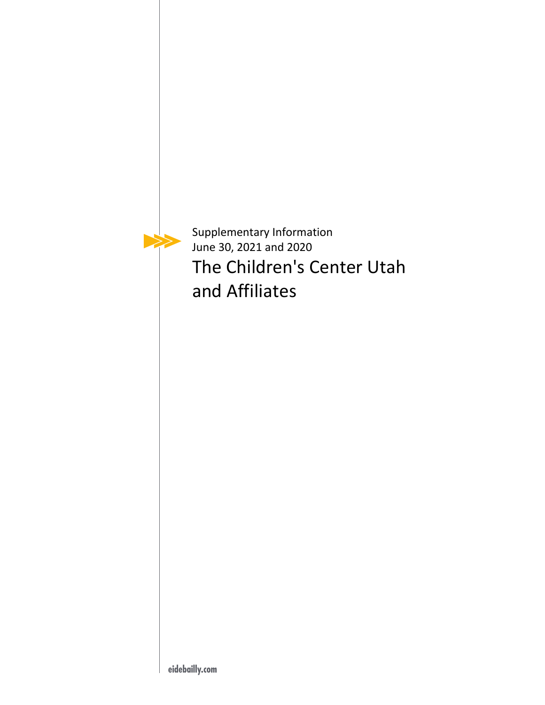

Supplementary Information June 30, 2021 and 2020 The Children's Center Utah and Affiliates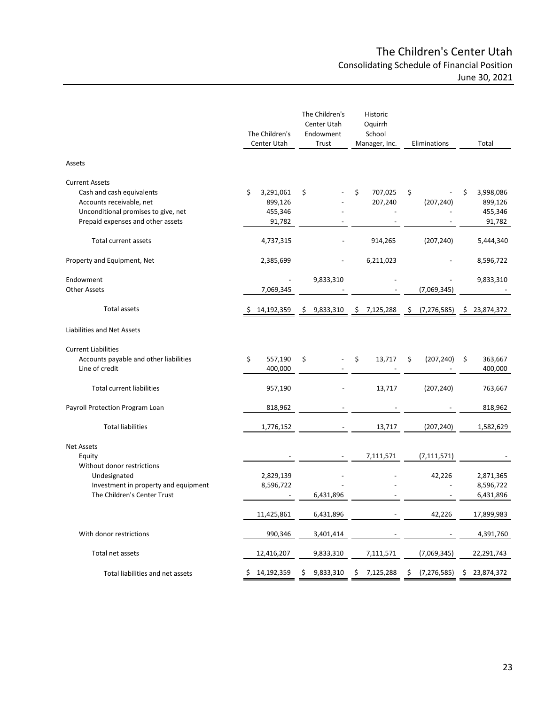<span id="page-24-0"></span>

|                                        | The Children's<br>Center Utah | The Children's<br>Center Utah<br>Endowment<br>Trust | Historic<br>Oquirrh<br>School<br>Manager, Inc. | Eliminations         | Total           |
|----------------------------------------|-------------------------------|-----------------------------------------------------|------------------------------------------------|----------------------|-----------------|
| Assets                                 |                               |                                                     |                                                |                      |                 |
| <b>Current Assets</b>                  |                               |                                                     |                                                |                      |                 |
| Cash and cash equivalents              | \$<br>3,291,061               | \$                                                  | \$<br>707,025                                  | \$                   | 3,998,086<br>\$ |
| Accounts receivable, net               | 899,126                       |                                                     | 207,240                                        | (207, 240)           | 899,126         |
| Unconditional promises to give, net    | 455,346                       |                                                     |                                                |                      | 455,346         |
| Prepaid expenses and other assets      | 91,782                        |                                                     |                                                |                      | 91,782          |
| Total current assets                   | 4,737,315                     |                                                     | 914,265                                        | (207, 240)           | 5,444,340       |
| Property and Equipment, Net            | 2,385,699                     |                                                     | 6,211,023                                      |                      | 8,596,722       |
| Endowment                              |                               | 9,833,310                                           |                                                |                      | 9,833,310       |
| <b>Other Assets</b>                    | 7,069,345                     |                                                     |                                                | (7,069,345)          |                 |
| <b>Total assets</b>                    | 14,192,359<br>Ş               | 9,833,310<br>Ş.                                     | 7,125,288<br>\$.                               | (7, 276, 585)<br>\$. | \$23,874,372    |
| Liabilities and Net Assets             |                               |                                                     |                                                |                      |                 |
| <b>Current Liabilities</b>             |                               |                                                     |                                                |                      |                 |
| Accounts payable and other liabilities | \$<br>557,190                 | \$                                                  | \$<br>13,717                                   | \$<br>(207, 240)     | 363,667<br>\$   |
| Line of credit                         | 400,000                       |                                                     |                                                |                      | 400,000         |
| <b>Total current liabilities</b>       | 957,190                       |                                                     | 13,717                                         | (207, 240)           | 763,667         |
| Payroll Protection Program Loan        | 818,962                       |                                                     |                                                |                      | 818,962         |
| <b>Total liabilities</b>               | 1,776,152                     |                                                     | 13,717                                         | (207, 240)           | 1,582,629       |
| <b>Net Assets</b>                      |                               |                                                     |                                                |                      |                 |
| Equity                                 |                               |                                                     | 7,111,571                                      | (7, 111, 571)        |                 |
| Without donor restrictions             |                               |                                                     |                                                |                      |                 |
| Undesignated                           | 2,829,139                     |                                                     |                                                | 42,226               | 2,871,365       |
| Investment in property and equipment   | 8,596,722                     |                                                     |                                                |                      | 8,596,722       |
| The Children's Center Trust            |                               | 6,431,896                                           |                                                |                      | 6,431,896       |
|                                        | 11,425,861                    | 6,431,896                                           |                                                | 42,226               | 17,899,983      |
| With donor restrictions                | 990,346                       | 3,401,414                                           |                                                |                      | 4,391,760       |
| Total net assets                       | 12,416,207                    | 9,833,310                                           | 7,111,571                                      | (7,069,345)          | 22,291,743      |
| Total liabilities and net assets       | \$14,192,359                  | 9,833,310<br>\$.                                    | 7,125,288<br>\$                                | (7, 276, 585)<br>Ş.  | \$23,874,372    |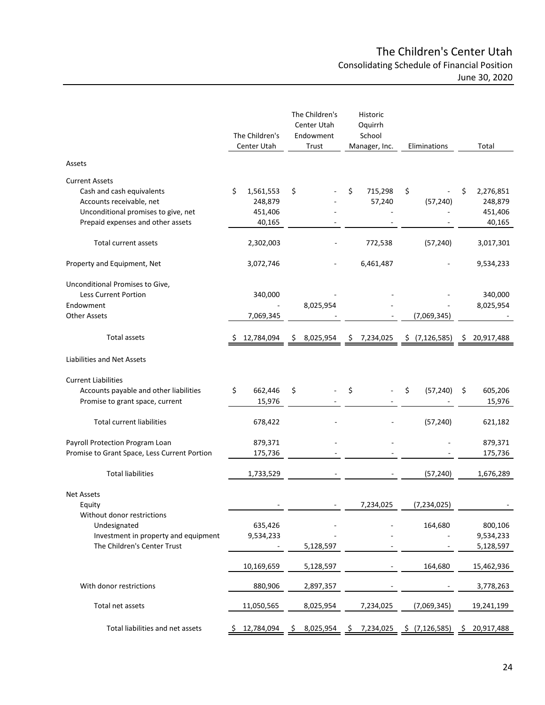|                                                      | The Children's<br>Center Utah | The Children's<br>Center Utah<br>Endowment<br>Trust                                                                         | Historic<br>Oquirrh<br>School<br>Manager, Inc. | Eliminations          | Total                  |
|------------------------------------------------------|-------------------------------|-----------------------------------------------------------------------------------------------------------------------------|------------------------------------------------|-----------------------|------------------------|
| Assets                                               |                               |                                                                                                                             |                                                |                       |                        |
| <b>Current Assets</b>                                |                               |                                                                                                                             |                                                |                       |                        |
| Cash and cash equivalents                            | \$<br>1,561,553               | \$                                                                                                                          | \$<br>715,298                                  | \$                    | \$<br>2,276,851        |
| Accounts receivable, net                             | 248,879                       |                                                                                                                             | 57,240                                         | (57, 240)             | 248,879                |
| Unconditional promises to give, net                  | 451,406                       |                                                                                                                             |                                                |                       | 451,406                |
| Prepaid expenses and other assets                    | 40,165                        |                                                                                                                             |                                                |                       | 40,165                 |
| Total current assets                                 | 2,302,003                     |                                                                                                                             | 772,538                                        | (57, 240)             | 3,017,301              |
| Property and Equipment, Net                          | 3,072,746                     |                                                                                                                             | 6,461,487                                      |                       | 9,534,233              |
| Unconditional Promises to Give,                      |                               |                                                                                                                             |                                                |                       |                        |
| <b>Less Current Portion</b>                          | 340,000                       |                                                                                                                             |                                                |                       | 340,000                |
| Endowment                                            |                               | 8,025,954                                                                                                                   |                                                |                       | 8,025,954              |
| <b>Other Assets</b>                                  | 7,069,345                     |                                                                                                                             |                                                | (7,069,345)           |                        |
| Total assets                                         |                               | $\frac{1}{2}$ 12,784,094 $\frac{1}{2}$ 8,025,954 $\frac{1}{2}$ 7,234,025 $\frac{1}{2}$ (7,126,585) $\frac{1}{2}$ 20,917,488 |                                                |                       |                        |
| Liabilities and Net Assets                           |                               |                                                                                                                             |                                                |                       |                        |
| <b>Current Liabilities</b>                           |                               |                                                                                                                             |                                                |                       |                        |
| Accounts payable and other liabilities               | \$<br>662,446                 | \$                                                                                                                          | \$                                             | \$<br>(57, 240)       | \$<br>605,206          |
| Promise to grant space, current                      | 15,976                        |                                                                                                                             |                                                |                       | 15,976                 |
|                                                      |                               |                                                                                                                             |                                                |                       |                        |
| <b>Total current liabilities</b>                     | 678,422                       |                                                                                                                             |                                                | (57, 240)             | 621,182                |
| Payroll Protection Program Loan                      | 879,371                       |                                                                                                                             |                                                |                       | 879,371                |
| Promise to Grant Space, Less Current Portion         | 175,736                       |                                                                                                                             |                                                |                       | 175,736                |
| <b>Total liabilities</b>                             | 1,733,529                     |                                                                                                                             |                                                | (57, 240)             | 1,676,289              |
| <b>Net Assets</b>                                    |                               |                                                                                                                             |                                                |                       |                        |
| Eauitv                                               |                               |                                                                                                                             | 7,234,025                                      | (7.234.025)           |                        |
| Without donor restrictions                           |                               |                                                                                                                             |                                                |                       |                        |
| Undesignated<br>Investment in property and equipment | 635,426                       |                                                                                                                             |                                                | 164,680               | 800,106                |
| The Children's Center Trust                          | 9,534,233                     | 5,128,597                                                                                                                   |                                                |                       | 9,534,233<br>5,128,597 |
|                                                      |                               |                                                                                                                             |                                                |                       |                        |
|                                                      | 10,169,659                    | 5,128,597                                                                                                                   |                                                | 164,680               | 15,462,936             |
| With donor restrictions                              | 880,906                       | 2,897,357                                                                                                                   |                                                |                       | 3,778,263              |
| Total net assets                                     | 11,050,565                    | 8,025,954                                                                                                                   | 7,234,025                                      | (7,069,345)           | 19,241,199             |
| Total liabilities and net assets                     | 12,784,094<br>-S              | \$8,025,954                                                                                                                 | - \$<br>7,234,025                              | $\frac{5}{7.126,585}$ | $5$ 20,917,488         |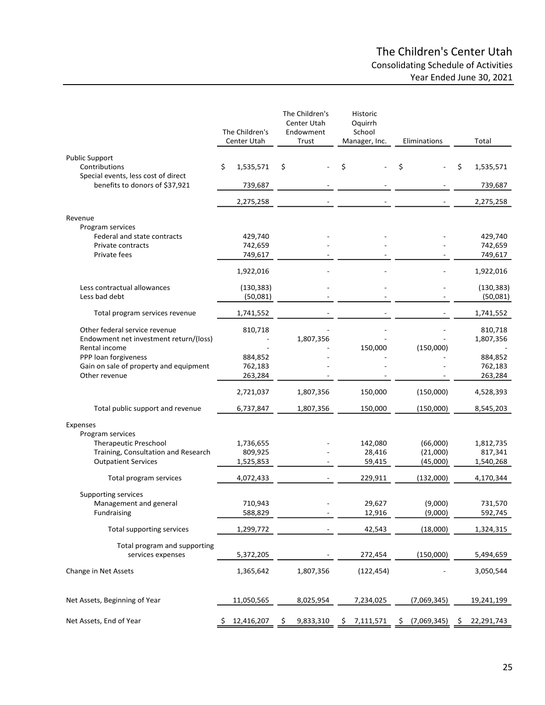<span id="page-26-0"></span>

|                                                      | The Children's<br>Center Utah |    | The Children's<br>Center Utah<br>Endowment<br>Trust | Historic<br>Oquirrh<br>School<br>Manager, Inc. | Eliminations   |    | Total      |
|------------------------------------------------------|-------------------------------|----|-----------------------------------------------------|------------------------------------------------|----------------|----|------------|
| <b>Public Support</b>                                |                               |    |                                                     |                                                |                |    |            |
| Contributions<br>Special events, less cost of direct | \$<br>1,535,571               | \$ | $\overline{\phantom{a}}$                            | \$                                             | \$             | \$ | 1,535,571  |
| benefits to donors of \$37,921                       | 739,687                       |    |                                                     |                                                |                |    | 739,687    |
|                                                      | 2,275,258                     |    |                                                     |                                                |                |    | 2,275,258  |
| Revenue                                              |                               |    |                                                     |                                                |                |    |            |
| Program services                                     |                               |    |                                                     |                                                |                |    |            |
| Federal and state contracts                          | 429,740                       |    |                                                     |                                                |                |    | 429,740    |
| Private contracts                                    | 742,659                       |    |                                                     |                                                |                |    | 742,659    |
| Private fees                                         | 749,617                       |    |                                                     |                                                |                |    | 749,617    |
|                                                      | 1,922,016                     |    |                                                     |                                                |                |    | 1,922,016  |
| Less contractual allowances                          | (130, 383)                    |    |                                                     |                                                |                |    | (130, 383) |
| Less bad debt                                        | (50,081)                      |    |                                                     |                                                |                |    | (50,081)   |
| Total program services revenue                       | 1,741,552                     |    |                                                     |                                                |                |    | 1,741,552  |
| Other federal service revenue                        | 810,718                       |    |                                                     |                                                |                |    | 810,718    |
| Endowment net investment return/(loss)               |                               |    | 1,807,356                                           |                                                |                |    | 1,807,356  |
| Rental income                                        |                               |    |                                                     | 150,000                                        | (150,000)      |    |            |
| PPP loan forgiveness                                 | 884,852                       |    |                                                     |                                                |                |    | 884,852    |
| Gain on sale of property and equipment               | 762,183                       |    |                                                     |                                                |                |    | 762,183    |
| Other revenue                                        | 263,284                       |    |                                                     |                                                |                |    | 263,284    |
|                                                      | 2,721,037                     |    | 1,807,356                                           | 150,000                                        | (150,000)      |    | 4,528,393  |
| Total public support and revenue                     | 6,737,847                     |    | 1,807,356                                           | 150,000                                        | (150,000)      |    | 8,545,203  |
| Expenses                                             |                               |    |                                                     |                                                |                |    |            |
| Program services                                     |                               |    |                                                     |                                                |                |    |            |
| <b>Therapeutic Preschool</b>                         | 1,736,655                     |    |                                                     | 142,080                                        | (66,000)       |    | 1,812,735  |
| Training, Consultation and Research                  | 809,925                       |    |                                                     | 28,416                                         | (21,000)       |    | 817,341    |
| <b>Outpatient Services</b>                           | 1,525,853                     |    |                                                     | 59,415                                         | (45,000)       |    | 1,540,268  |
| Total program services                               | 4,072,433                     |    |                                                     | 229,911                                        | (132,000)      |    | 4,170,344  |
| Supporting services                                  |                               |    |                                                     |                                                |                |    |            |
| Management and general                               | 710,943                       |    |                                                     | 29,627                                         | (9,000)        |    | 731,570    |
| Fundraising                                          | 588,829                       |    |                                                     | 12,916                                         | (9,000)        |    | 592,745    |
| Total supporting services                            | 1,299,772                     |    |                                                     | 42,543                                         | (18,000)       |    | 1,324,315  |
| Total program and supporting                         |                               |    |                                                     |                                                |                |    |            |
| services expenses                                    | 5,372,205                     |    |                                                     | 272,454                                        | (150,000)      |    | 5,494,659  |
| Change in Net Assets                                 | 1,365,642                     |    | 1,807,356                                           | (122, 454)                                     |                |    | 3,050,544  |
| Net Assets, Beginning of Year                        | 11,050,565                    |    | 8,025,954                                           | 7,234,025                                      | (7,069,345)    |    | 19,241,199 |
| Net Assets, End of Year                              | \$<br>12,416,207              | -Ş | 9,833,310                                           | \$<br>7,111,571                                | \$ (7,069,345) | -S | 22,291,743 |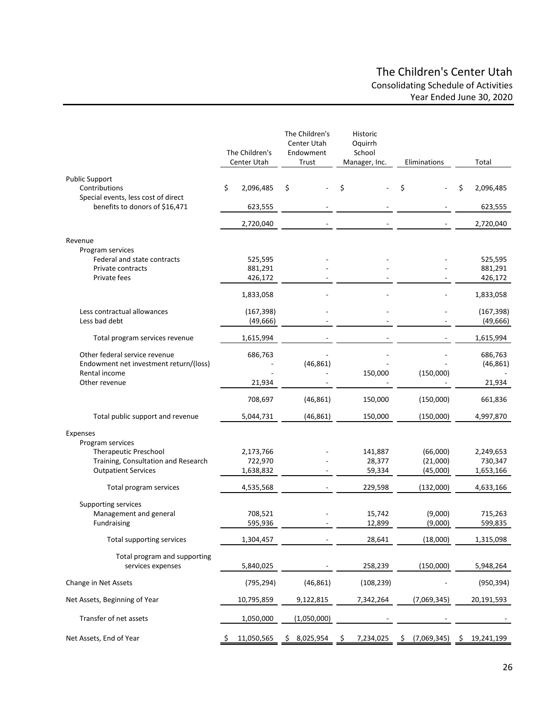# The Children's Center Utah Consolidating Schedule of Activities Year Ended June 30, 2020

|                                                                         | The Children's<br>Center Utah | The Children's<br>Center Utah<br>Endowment<br>Trust | Historic<br>Oquirrh<br>School<br>Manager, Inc. | Eliminations      | Total                  |
|-------------------------------------------------------------------------|-------------------------------|-----------------------------------------------------|------------------------------------------------|-------------------|------------------------|
| <b>Public Support</b>                                                   |                               |                                                     |                                                |                   |                        |
| Contributions<br>Special events, less cost of direct                    | \$<br>2,096,485               | \$                                                  | \$                                             | \$                | \$<br>2,096,485        |
| benefits to donors of \$16,471                                          | 623,555                       |                                                     |                                                |                   | 623,555                |
|                                                                         | 2,720,040                     |                                                     |                                                |                   | 2,720,040              |
| Revenue                                                                 |                               |                                                     |                                                |                   |                        |
| Program services                                                        |                               |                                                     |                                                |                   |                        |
| Federal and state contracts                                             | 525,595                       |                                                     |                                                |                   | 525,595                |
| Private contracts                                                       | 881,291                       |                                                     |                                                |                   | 881,291                |
| Private fees                                                            | 426,172                       |                                                     |                                                |                   | 426,172                |
|                                                                         | 1,833,058                     |                                                     |                                                |                   | 1,833,058              |
| Less contractual allowances                                             | (167, 398)                    |                                                     |                                                |                   | (167, 398)             |
| Less bad debt                                                           | (49, 666)                     |                                                     |                                                |                   | (49, 666)              |
| Total program services revenue                                          | 1,615,994                     |                                                     |                                                |                   | 1,615,994              |
|                                                                         |                               |                                                     |                                                |                   |                        |
| Other federal service revenue<br>Endowment net investment return/(loss) | 686,763                       | (46, 861)                                           |                                                |                   | 686,763                |
| Rental income                                                           |                               |                                                     | 150,000                                        | (150,000)         | (46, 861)              |
| Other revenue                                                           | 21,934                        |                                                     |                                                |                   | 21,934                 |
|                                                                         | 708,697                       | (46, 861)                                           | 150,000                                        | (150,000)         | 661,836                |
| Total public support and revenue                                        | 5,044,731                     | (46, 861)                                           | 150,000                                        | (150,000)         | 4,997,870              |
|                                                                         |                               |                                                     |                                                |                   |                        |
| <b>Expenses</b><br>Program services                                     |                               |                                                     |                                                |                   |                        |
| <b>Therapeutic Preschool</b>                                            | 2,173,766                     |                                                     | 141,887                                        | (66,000)          | 2,249,653              |
| Training, Consultation and Research                                     | 722,970                       |                                                     | 28,377                                         | (21,000)          | 730,347                |
| <b>Outpatient Services</b>                                              | 1,638,832                     |                                                     | 59,334                                         | (45,000)          | 1,653,166              |
| Total program services                                                  | 4,535,568                     |                                                     | 229,598                                        | (132,000)         | 4,633,166              |
|                                                                         |                               |                                                     |                                                |                   |                        |
| Supporting services                                                     |                               |                                                     |                                                |                   |                        |
| Management and general                                                  | 708,521                       |                                                     | 15,742                                         | (9,000)           | 715,263                |
| Fundraising                                                             | 595,936                       |                                                     | 12,899                                         | (9,000)           | 599,835                |
| Total supporting services                                               | 1,304,457                     |                                                     | 28,641                                         | (18,000)          | 1,315,098              |
| Total program and supporting                                            |                               |                                                     |                                                |                   |                        |
| services expenses                                                       | 5,840,025                     |                                                     | 258,239                                        | (150,000)         | 5,948,264              |
| Change in Net Assets                                                    | (795, 294)                    | (46, 861)                                           | (108, 239)                                     |                   | (950, 394)             |
| Net Assets, Beginning of Year                                           | 10,795,859                    | 9,122,815                                           | 7,342,264                                      | (7,069,345)       | 20,191,593             |
| Transfer of net assets                                                  | 1,050,000                     | (1,050,000)                                         |                                                |                   |                        |
| Net Assets, End of Year                                                 | 11,050,565<br>-Ş              | \$8,025,954                                         | 7,234,025<br>Ş.                                | (7,069,345)<br>Ş. | $\frac{5}{19,241,199}$ |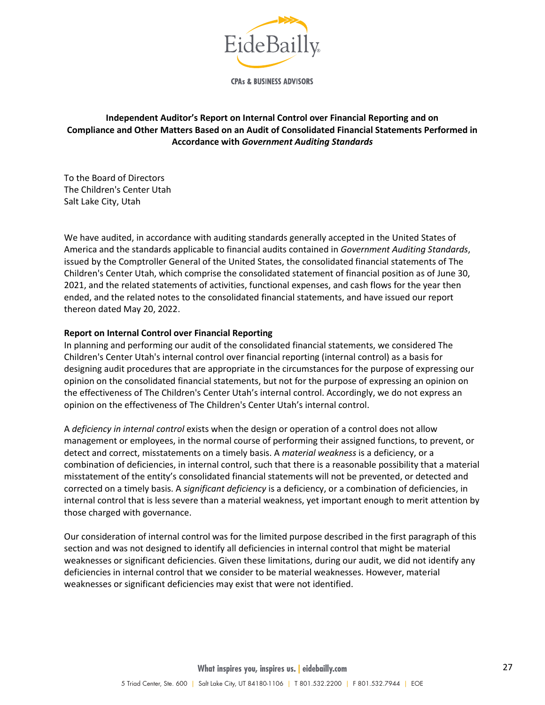

**CPAs & BUSINESS ADVISORS** 

# <span id="page-28-0"></span>**Independent Auditor's Report on Internal Control over Financial Reporting and on Compliance and Other Matters Based on an Audit of Consolidated Financial Statements Performed in Accordance with** *Government Auditing Standards*

To the Board of Directors The Children's Center Utah Salt Lake City, Utah

We have audited, in accordance with auditing standards generally accepted in the United States of America and the standards applicable to financial audits contained in *Government Auditing Standards*, issued by the Comptroller General of the United States, the consolidated financial statements of The Children's Center Utah, which comprise the consolidated statement of financial position as of June 30, 2021, and the related statements of activities, functional expenses, and cash flows for the year then ended, and the related notes to the consolidated financial statements, and have issued our report thereon dated May 20, 2022.

### **Report on Internal Control over Financial Reporting**

In planning and performing our audit of the consolidated financial statements, we considered The Children's Center Utah's internal control over financial reporting (internal control) as a basis for designing audit procedures that are appropriate in the circumstances for the purpose of expressing our opinion on the consolidated financial statements, but not for the purpose of expressing an opinion on the effectiveness of The Children's Center Utah's internal control. Accordingly, we do not express an opinion on the effectiveness of The Children's Center Utah's internal control.

A *deficiency in internal control* exists when the design or operation of a control does not allow management or employees, in the normal course of performing their assigned functions, to prevent, or detect and correct, misstatements on a timely basis. A *material weakness* is a deficiency, or a combination of deficiencies, in internal control, such that there is a reasonable possibility that a material misstatement of the entity's consolidated financial statements will not be prevented, or detected and corrected on a timely basis. A *significant deficiency* is a deficiency, or a combination of deficiencies, in internal control that is less severe than a material weakness, yet important enough to merit attention by those charged with governance.

Our consideration of internal control was for the limited purpose described in the first paragraph of this section and was not designed to identify all deficiencies in internal control that might be material weaknesses or significant deficiencies. Given these limitations, during our audit, we did not identify any deficiencies in internal control that we consider to be material weaknesses. However, material weaknesses or significant deficiencies may exist that were not identified.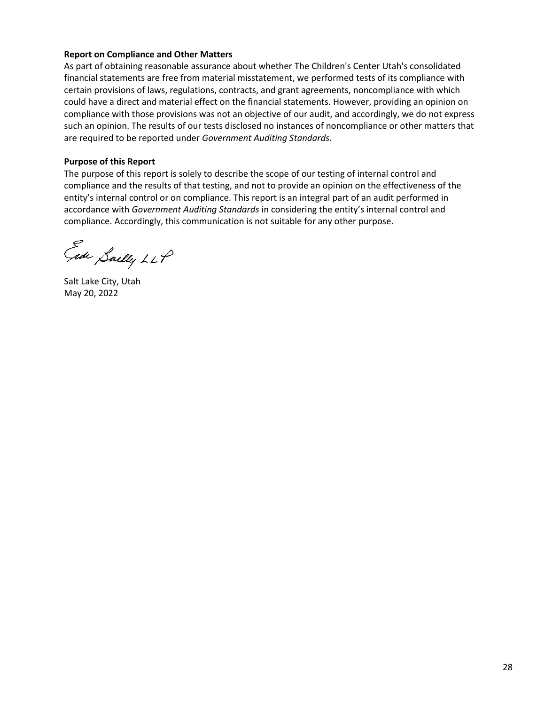### **Report on Compliance and Other Matters**

As part of obtaining reasonable assurance about whether The Children's Center Utah's consolidated financial statements are free from material misstatement, we performed tests of its compliance with certain provisions of laws, regulations, contracts, and grant agreements, noncompliance with which could have a direct and material effect on the financial statements. However, providing an opinion on compliance with those provisions was not an objective of our audit, and accordingly, we do not express such an opinion. The results of our tests disclosed no instances of noncompliance or other matters that are required to be reported under *Government Auditing Standards*.

### **Purpose of this Report**

The purpose of this report is solely to describe the scope of our testing of internal control and compliance and the results of that testing, and not to provide an opinion on the effectiveness of the entity's internal control or on compliance. This report is an integral part of an audit performed in accordance with *Government Auditing Standards* in considering the entity's internal control and compliance. Accordingly, this communication is not suitable for any other purpose.

Ede Saelly LLP

Salt Lake City, Utah May 20, 2022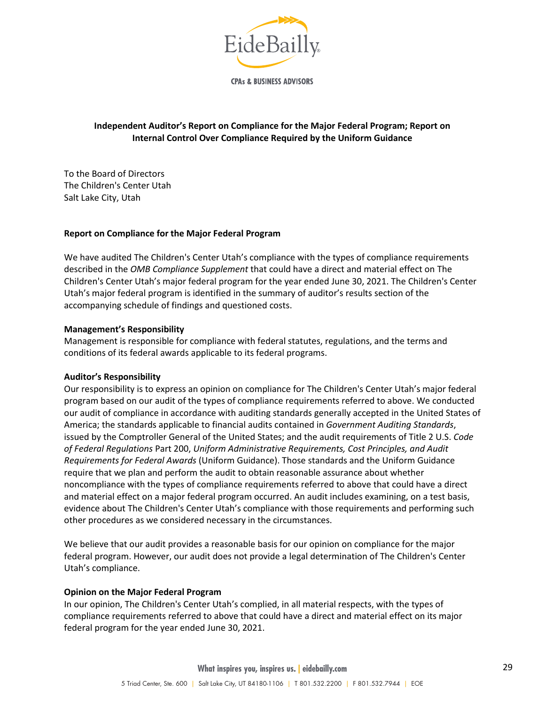

**CPAs & BUSINESS ADVISORS** 

# <span id="page-30-0"></span>**Independent Auditor's Report on Compliance for the Major Federal Program; Report on Internal Control Over Compliance Required by the Uniform Guidance**

To the Board of Directors The Children's Center Utah Salt Lake City, Utah

#### **Report on Compliance for the Major Federal Program**

We have audited The Children's Center Utah's compliance with the types of compliance requirements described in the *OMB Compliance Supplement* that could have a direct and material effect on The Children's Center Utah's major federal program for the year ended June 30, 2021. The Children's Center Utah's major federal program is identified in the summary of auditor's results section of the accompanying schedule of findings and questioned costs.

#### **Management's Responsibility**

Management is responsible for compliance with federal statutes, regulations, and the terms and conditions of its federal awards applicable to its federal programs.

### **Auditor's Responsibility**

Our responsibility is to express an opinion on compliance for The Children's Center Utah's major federal program based on our audit of the types of compliance requirements referred to above. We conducted our audit of compliance in accordance with auditing standards generally accepted in the United States of America; the standards applicable to financial audits contained in *Government Auditing Standards*, issued by the Comptroller General of the United States; and the audit requirements of Title 2 U.S. *Code of Federal Regulations* Part 200, *Uniform Administrative Requirements, Cost Principles, and Audit Requirements for Federal Awards* (Uniform Guidance). Those standards and the Uniform Guidance require that we plan and perform the audit to obtain reasonable assurance about whether noncompliance with the types of compliance requirements referred to above that could have a direct and material effect on a major federal program occurred. An audit includes examining, on a test basis, evidence about The Children's Center Utah's compliance with those requirements and performing such other procedures as we considered necessary in the circumstances.

We believe that our audit provides a reasonable basis for our opinion on compliance for the major federal program. However, our audit does not provide a legal determination of The Children's Center Utah's compliance.

#### **Opinion on the Major Federal Program**

In our opinion, The Children's Center Utah's complied, in all material respects, with the types of compliance requirements referred to above that could have a direct and material effect on its major federal program for the year ended June 30, 2021.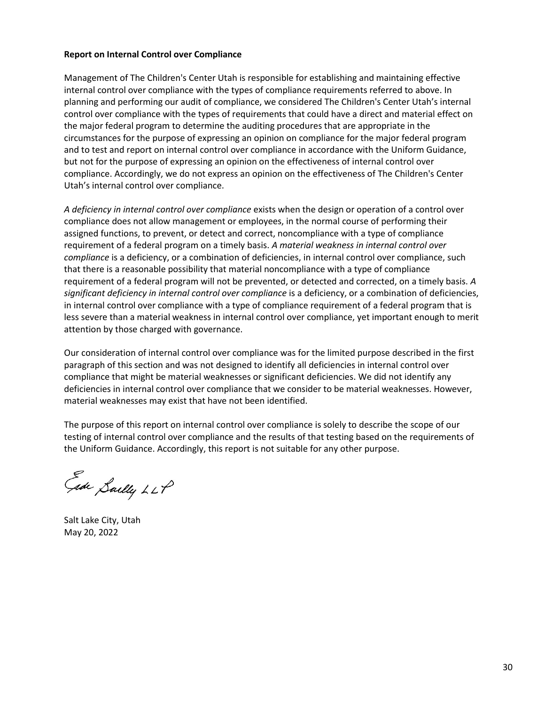### **Report on Internal Control over Compliance**

Management of The Children's Center Utah is responsible for establishing and maintaining effective internal control over compliance with the types of compliance requirements referred to above. In planning and performing our audit of compliance, we considered The Children's Center Utah's internal control over compliance with the types of requirements that could have a direct and material effect on the major federal program to determine the auditing procedures that are appropriate in the circumstances for the purpose of expressing an opinion on compliance for the major federal program and to test and report on internal control over compliance in accordance with the Uniform Guidance, but not for the purpose of expressing an opinion on the effectiveness of internal control over compliance. Accordingly, we do not express an opinion on the effectiveness of The Children's Center Utah's internal control over compliance.

*A deficiency in internal control over compliance* exists when the design or operation of a control over compliance does not allow management or employees, in the normal course of performing their assigned functions, to prevent, or detect and correct, noncompliance with a type of compliance requirement of a federal program on a timely basis. *A material weakness in internal control over compliance* is a deficiency, or a combination of deficiencies, in internal control over compliance, such that there is a reasonable possibility that material noncompliance with a type of compliance requirement of a federal program will not be prevented, or detected and corrected, on a timely basis. *A significant deficiency in internal control over compliance* is a deficiency, or a combination of deficiencies, in internal control over compliance with a type of compliance requirement of a federal program that is less severe than a material weakness in internal control over compliance, yet important enough to merit attention by those charged with governance.

Our consideration of internal control over compliance was for the limited purpose described in the first paragraph of this section and was not designed to identify all deficiencies in internal control over compliance that might be material weaknesses or significant deficiencies. We did not identify any deficiencies in internal control over compliance that we consider to be material weaknesses. However, material weaknesses may exist that have not been identified.

The purpose of this report on internal control over compliance is solely to describe the scope of our testing of internal control over compliance and the results of that testing based on the requirements of the Uniform Guidance. Accordingly, this report is not suitable for any other purpose.

Gide Sailly LLP

Salt Lake City, Utah May 20, 2022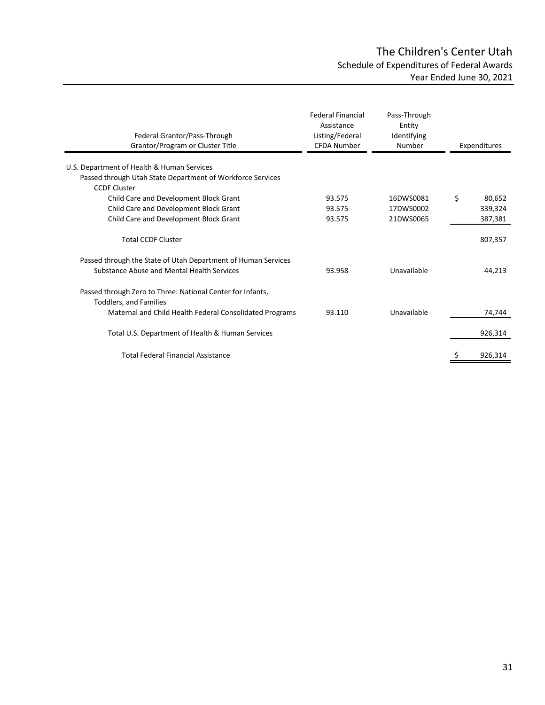<span id="page-32-0"></span>

| Federal Grantor/Pass-Through<br>Grantor/Program or Cluster Title                            | <b>Federal Financial</b><br>Assistance<br>Listing/Federal<br><b>CFDA Number</b> | Pass-Through<br>Entity<br>Identifying<br>Number | Expenditures |
|---------------------------------------------------------------------------------------------|---------------------------------------------------------------------------------|-------------------------------------------------|--------------|
| U.S. Department of Health & Human Services                                                  |                                                                                 |                                                 |              |
| Passed through Utah State Department of Workforce Services                                  |                                                                                 |                                                 |              |
| <b>CCDF Cluster</b>                                                                         |                                                                                 |                                                 |              |
| Child Care and Development Block Grant                                                      | 93.575                                                                          | 16DWS0081                                       | \$<br>80,652 |
| Child Care and Development Block Grant                                                      | 93.575                                                                          | 17DWS0002                                       | 339,324      |
| Child Care and Development Block Grant                                                      | 93.575                                                                          | 21DWS0065                                       | 387,381      |
| <b>Total CCDF Cluster</b>                                                                   |                                                                                 |                                                 | 807,357      |
| Passed through the State of Utah Department of Human Services                               |                                                                                 |                                                 |              |
| Substance Abuse and Mental Health Services                                                  | 93.958                                                                          | Unavailable                                     | 44,213       |
| Passed through Zero to Three: National Center for Infants,<br><b>Toddlers, and Families</b> |                                                                                 |                                                 |              |
| Maternal and Child Health Federal Consolidated Programs                                     | 93.110                                                                          | Unavailable                                     | 74,744       |
| Total U.S. Department of Health & Human Services                                            |                                                                                 |                                                 | 926,314      |
| <b>Total Federal Financial Assistance</b>                                                   |                                                                                 |                                                 | 926,314      |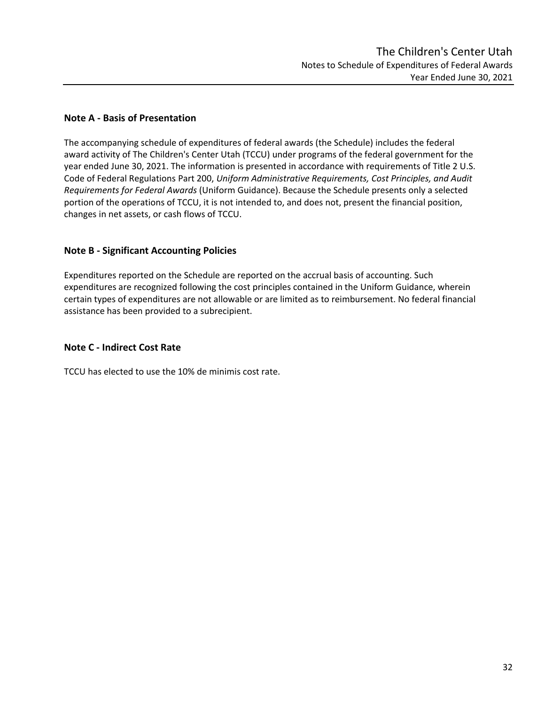# <span id="page-33-0"></span>**Note A - Basis of Presentation**

The accompanying schedule of expenditures of federal awards (the Schedule) includes the federal award activity of The Children's Center Utah (TCCU) under programs of the federal government for the year ended June 30, 2021. The information is presented in accordance with requirements of Title 2 U.S. Code of Federal Regulations Part 200, *Uniform Administrative Requirements, Cost Principles, and Audit Requirements for Federal Awards* (Uniform Guidance). Because the Schedule presents only a selected portion of the operations of TCCU, it is not intended to, and does not, present the financial position, changes in net assets, or cash flows of TCCU.

## **Note B - Significant Accounting Policies**

Expenditures reported on the Schedule are reported on the accrual basis of accounting. Such expenditures are recognized following the cost principles contained in the Uniform Guidance, wherein certain types of expenditures are not allowable or are limited as to reimbursement. No federal financial assistance has been provided to a subrecipient.

## **Note C - Indirect Cost Rate**

TCCU has elected to use the 10% de minimis cost rate.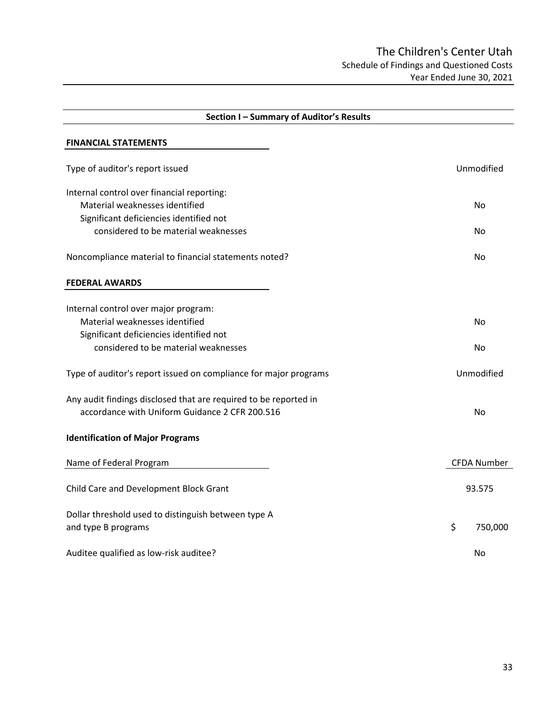<span id="page-34-0"></span>

| Section I - Summary of Auditor's Results                                   |                    |  |  |  |  |
|----------------------------------------------------------------------------|--------------------|--|--|--|--|
| <b>FINANCIAL STATEMENTS</b>                                                |                    |  |  |  |  |
| Type of auditor's report issued                                            | Unmodified         |  |  |  |  |
| Internal control over financial reporting:                                 |                    |  |  |  |  |
| Material weaknesses identified                                             | No                 |  |  |  |  |
| Significant deficiencies identified not                                    |                    |  |  |  |  |
| considered to be material weaknesses                                       | No                 |  |  |  |  |
| Noncompliance material to financial statements noted?                      | No                 |  |  |  |  |
| <b>FEDERAL AWARDS</b>                                                      |                    |  |  |  |  |
| Internal control over major program:                                       |                    |  |  |  |  |
| Material weaknesses identified                                             | No                 |  |  |  |  |
| Significant deficiencies identified not                                    |                    |  |  |  |  |
| considered to be material weaknesses                                       | No                 |  |  |  |  |
| Type of auditor's report issued on compliance for major programs           | Unmodified         |  |  |  |  |
| Any audit findings disclosed that are required to be reported in           |                    |  |  |  |  |
| accordance with Uniform Guidance 2 CFR 200.516                             | No                 |  |  |  |  |
| <b>Identification of Major Programs</b>                                    |                    |  |  |  |  |
| Name of Federal Program                                                    | <b>CFDA Number</b> |  |  |  |  |
| Child Care and Development Block Grant                                     | 93.575             |  |  |  |  |
| Dollar threshold used to distinguish between type A<br>and type B programs | \$<br>750,000      |  |  |  |  |
| Auditee qualified as low-risk auditee?                                     | No                 |  |  |  |  |